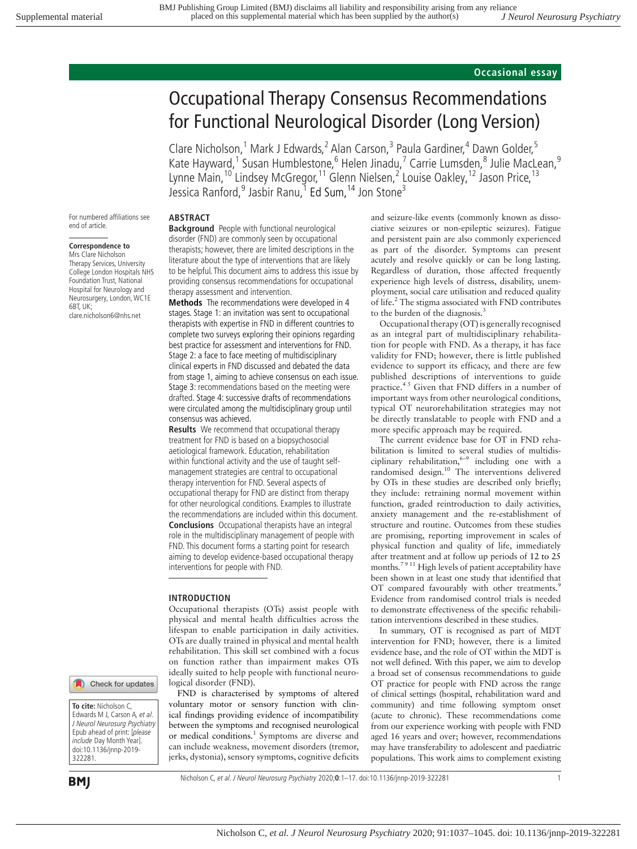# Occupational Therapy Consensus Recommendations for Functional Neurological Disorder (Long Version)

Clare Nicholson,<sup>1</sup> Mark J Edwards,<sup>2</sup> Alan Carson,<sup>3</sup> Paula Gardiner,<sup>4</sup> Dawn Golder,<sup>5</sup> Kate Hayward,<sup>1</sup> Susan Humblestone,<sup>6</sup> Helen Jinadu,<sup>7</sup> Carrie Lumsden,<sup>8</sup> Julie MacLean,<sup>9</sup> Lynne Main,<sup>10</sup> Lindsey McGregor,<sup>11</sup> Glenn Nielsen,<sup>2</sup> Louise Oakley,<sup>12</sup> Jason Price,<sup>13</sup> Jessica Ranford,<sup>9</sup> Jasbir Ranu,<sup>1</sup> Ed Sum,<sup>14</sup> Jon Stone<sup>3</sup>

For numbered affiliations see end of article.

# **Correspondence to**

Mrs Clare Nicholson Therapy Services, University College London Hospitals NHS Foundation Trust, National Hospital for Neurology and Neurosurgery, London, WC1E  $6RT$ , IK $\cdot$ clare.nicholson6@nhs.net

### Check for updates

**To cite:** Nicholson C, Edwards M J, Carson A, et al. J Neurol Neurosurg Psychiatry Epub ahead of print: [please include Day Month Year]. doi:10.1136/jnnp-2019- 322281.

#### **ABSTRACT**

**Background** People with functional neurological disorder (FND) are commonly seen by occupational therapists; however, there are limited descriptions in the literature about the type of interventions that are likely to be helpful. This document aims to address this issue by providing consensus recommendations for occupational therapy assessment and intervention.

**Methods** The recommendations were developed in 4 stages. Stage 1: an invitation was sent to occupational therapists with expertise in FND in different countries to complete two surveys exploring their opinions regarding best practice for assessment and interventions for FND. Stage 2: a face to face meeting of multidisciplinary clinical experts in FND discussed and debated the data from stage 1, aiming to achieve consensus on each issue. Stage 3: recommendations based on the meeting were drafted. Stage 4: successive drafts of recommendations were circulated among the multidisciplinary group until consensus was achieved.

**Results** We recommend that occupational therapy treatment for FND is based on a biopsychosocial aetiological framework. Education, rehabilitation within functional activity and the use of taught selfmanagement strategies are central to occupational therapy intervention for FND. Several aspects of occupational therapy for FND are distinct from therapy for other neurological conditions. Examples to illustrate the recommendations are included within this document. **Conclusions** Occupational therapists have an integral role in the multidisciplinary management of people with FND. This document forms a starting point for research aiming to develop evidence-based occupational therapy interventions for people with FND.

#### **INTRODUCTION**

Occupational therapists (OTs) assist people with physical and mental health difficulties across the lifespan to enable participation in daily activities. OTs are dually trained in physical and mental health rehabilitation. This skill set combined with a focus on function rather than impairment makes OTs ideally suited to help people with functional neurological disorder (FND).

FND is characterised by symptoms of altered voluntary motor or sensory function with clinical findings providing evidence of incompatibility between the symptoms and recognised neurological or medical conditions.<sup>1</sup> Symptoms are diverse and can include weakness, movement disorders (tremor, jerks, dystonia), sensory symptoms, cognitive deficits and seizure-like events (commonly known as dissociative seizures or non-epileptic seizures). Fatigue and persistent pain are also commonly experienced as part of the disorder. Symptoms can present acutely and resolve quickly or can be long lasting. Regardless of duration, those affected frequently experience high levels of distress, disability, unemployment, social care utilisation and reduced quality of life.<sup>2</sup> The stigma associated with FND contributes to the burden of the diagnosis.<sup>3</sup>

Occupational therapy (OT) is generally recognised as an integral part of multidisciplinary rehabilitation for people with FND. As a therapy, it has face validity for FND; however, there is little published evidence to support its efficacy, and there are few published descriptions of interventions to guide practice.4 5 Given that FND differs in a number of important ways from other neurological conditions, typical OT neurorehabilitation strategies may not be directly translatable to people with FND and a more specific approach may be required.

The current evidence base for OT in FND rehabilitation is limited to several studies of multidisciplinary rehabilitation, $6-9$  including one with a randomised design.<sup>10</sup> The interventions delivered by OTs in these studies are described only briefly; they include: retraining normal movement within function, graded reintroduction to daily activities, anxiety management and the re-establishment of structure and routine. Outcomes from these studies are promising, reporting improvement in scales of physical function and quality of life, immediately after treatment and at follow up periods of 12 to 25 months.<sup>79 11</sup> High levels of patient acceptability have been shown in at least one study that identified that OT compared favourably with other treatments.<sup>9</sup> Evidence from randomised control trials is needed to demonstrate effectiveness of the specific rehabilitation interventions described in these studies.

In summary, OT is recognised as part of MDT intervention for FND; however, there is a limited evidence base, and the role of OT within the MDT is not well defined. With this paper, we aim to develop a broad set of consensus recommendations to guide OT practice for people with FND across the range of clinical settings (hospital, rehabilitation ward and community) and time following symptom onset (acute to chronic). These recommendations come from our experience working with people with FND aged 16 years and over; however, recommendations may have transferability to adolescent and paediatric populations. This work aims to complement existing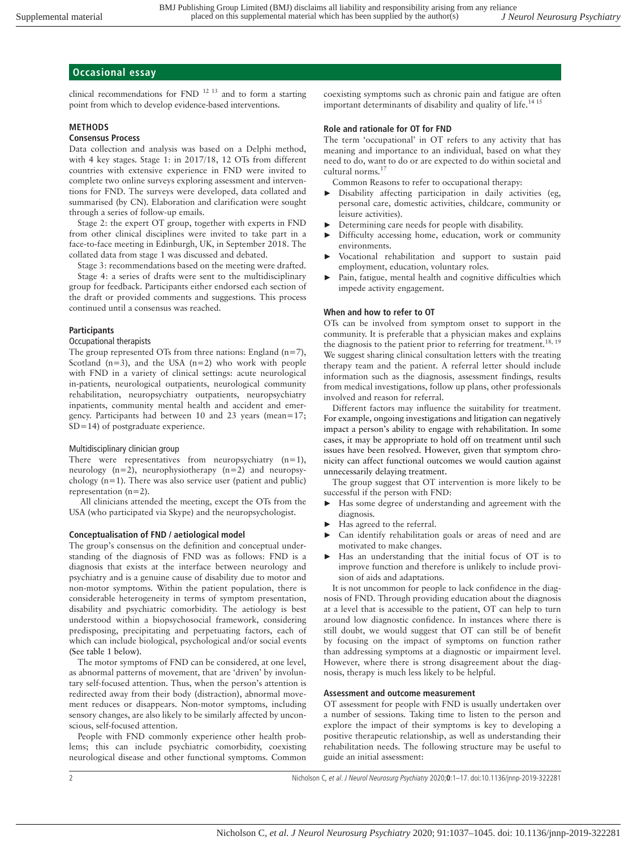clinical recommendations for FND  $^{12}$  <sup>13</sup> and to form a starting point from which to develop evidence-based interventions.

#### **METHODS**

#### **Consensus Process**

Data collection and analysis was based on a Delphi method, with 4 key stages. Stage 1: in 2017/18, 12 OTs from different countries with extensive experience in FND were invited to complete two online surveys exploring assessment and interventions for FND. The surveys were developed, data collated and summarised (by CN). Elaboration and clarification were sought through a series of follow-up emails.

Stage 2: the expert OT group, together with experts in FND from other clinical disciplines were invited to take part in a face-to-face meeting in Edinburgh, UK, in September 2018. The collated data from stage 1 was discussed and debated.

Stage 3: recommendations based on the meeting were drafted.

Stage 4: a series of drafts were sent to the multidisciplinary group for feedback. Participants either endorsed each section of the draft or provided comments and suggestions. This process continued until a consensus was reached.

#### **Participants**

#### Occupational therapists

The group represented OTs from three nations: England  $(n=7)$ , Scotland  $(n=3)$ , and the USA  $(n=2)$  who work with people with FND in a variety of clinical settings: acute neurological in-patients, neurological outpatients, neurological community rehabilitation, neuropsychiatry outpatients, neuropsychiatry inpatients, community mental health and accident and emergency. Participants had between 10 and 23 years (mean=17; SD=14) of postgraduate experience.

#### Multidisciplinary clinician group

There were representatives from neuropsychiatry (n=1), neurology (n=2), neurophysiotherapy (n=2) and neuropsychology (n=1). There was also service user (patient and public) representation (n=2).

 All clinicians attended the meeting, except the OTs from the USA (who participated via Skype) and the neuropsychologist.

#### **Conceptualisation of FND / aetiological model**

The group's consensus on the definition and conceptual understanding of the diagnosis of FND was as follows: FND is a diagnosis that exists at the interface between neurology and psychiatry and is a genuine cause of disability due to motor and non-motor symptoms. Within the patient population, there is considerable heterogeneity in terms of symptom presentation, disability and psychiatric comorbidity. The aetiology is best understood within a biopsychosocial framework, considering predisposing, precipitating and perpetuating factors, each of which can include biological, psychological and/or social events (See table 1 below).

The motor symptoms of FND can be considered, at one level, as abnormal patterns of movement, that are 'driven' by involuntary self-focused attention. Thus, when the person's attention is redirected away from their body (distraction), abnormal movement reduces or disappears. Non-motor symptoms, including sensory changes, are also likely to be similarly affected by unconscious, self-focused attention.

People with FND commonly experience other health problems; this can include psychiatric comorbidity, coexisting neurological disease and other functional symptoms. Common

coexisting symptoms such as chronic pain and fatigue are often important determinants of disability and quality of life.<sup>14 15</sup>

#### **Role and rationale for OT for FND**

The term 'occupational' in OT refers to any activity that has meaning and importance to an individual, based on what they need to do, want to do or are expected to do within societal and cultural norms.<sup>17</sup>

Common Reasons to refer to occupational therapy:

- ► Disability affecting participation in daily activities (eg, personal care, domestic activities, childcare, community or leisure activities).
- ► Determining care needs for people with disability.
- Difficulty accessing home, education, work or community environments.
- ► Vocational rehabilitation and support to sustain paid employment, education, voluntary roles.
- Pain, fatigue, mental health and cognitive difficulties which impede activity engagement.

#### **When and how to refer to OT**

OTs can be involved from symptom onset to support in the community. It is preferable that a physician makes and explains the diagnosis to the patient prior to referring for treatment.<sup>18, 19</sup> We suggest sharing clinical consultation letters with the treating therapy team and the patient. A referral letter should include information such as the diagnosis, assessment findings, results from medical investigations, follow up plans, other professionals involved and reason for referral.

Different factors may influence the suitability for treatment. For example, ongoing investigations and litigation can negatively impact a person's ability to engage with rehabilitation. In some cases, it may be appropriate to hold off on treatment until such issues have been resolved. However, given that symptom chronicity can affect functional outcomes we would caution against unnecessarily delaying treatment.

The group suggest that OT intervention is more likely to be successful if the person with FND:

- Has some degree of understanding and agreement with the diagnosis.
- Has agreed to the referral.
- Can identify rehabilitation goals or areas of need and are motivated to make changes.
- Has an understanding that the initial focus of OT is to improve function and therefore is unlikely to include provision of aids and adaptations.

It is not uncommon for people to lack confidence in the diagnosis of FND. Through providing education about the diagnosis at a level that is accessible to the patient, OT can help to turn around low diagnostic confidence. In instances where there is still doubt, we would suggest that OT can still be of benefit by focusing on the impact of symptoms on function rather than addressing symptoms at a diagnostic or impairment level. However, where there is strong disagreement about the diagnosis, therapy is much less likely to be helpful.

#### **Assessment and outcome measurement**

OT assessment for people with FND is usually undertaken over a number of sessions. Taking time to listen to the person and explore the impact of their symptoms is key to developing a positive therapeutic relationship, as well as understanding their rehabilitation needs. The following structure may be useful to guide an initial assessment: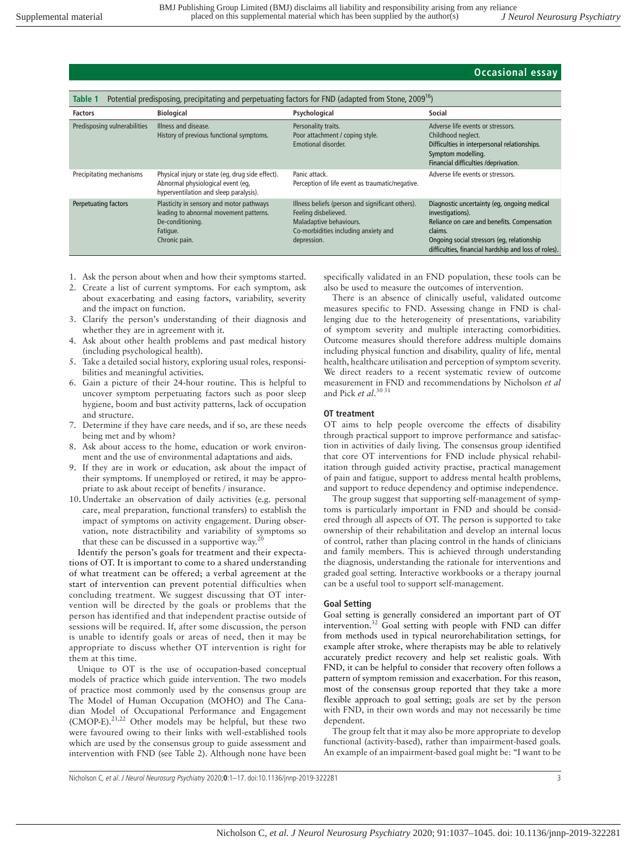| Potential predisposing, precipitating and perpetuating factors for FND (adapted from Stone, 2009 <sup>16</sup> )<br><b>Table 1</b> |                                                                                                                                     |                                                                                                                                                            |                                                                                                                                                                                                                                 |
|------------------------------------------------------------------------------------------------------------------------------------|-------------------------------------------------------------------------------------------------------------------------------------|------------------------------------------------------------------------------------------------------------------------------------------------------------|---------------------------------------------------------------------------------------------------------------------------------------------------------------------------------------------------------------------------------|
| <b>Factors</b>                                                                                                                     | <b>Biological</b>                                                                                                                   | Psychological                                                                                                                                              | Social                                                                                                                                                                                                                          |
| Predisposing vulnerabilities                                                                                                       | Illness and disease.<br>History of previous functional symptoms.                                                                    | Personality traits.<br>Poor attachment / coping style.<br>Emotional disorder.                                                                              | Adverse life events or stressors.<br>Childhood neglect.<br>Difficulties in interpersonal relationships.<br>Symptom modelling.<br>Financial difficulties /deprivation.                                                           |
| Precipitating mechanisms                                                                                                           | Physical injury or state (eq. drug side effect).<br>Abnormal physiological event (eg,<br>hyperventilation and sleep paralysis).     | Panic attack.<br>Perception of life event as traumatic/negative.                                                                                           | Adverse life events or stressors.                                                                                                                                                                                               |
| Perpetuating factors                                                                                                               | Plasticity in sensory and motor pathways<br>leading to abnormal movement patterns.<br>De-conditioning.<br>Fatigue.<br>Chronic pain. | Illness beliefs (person and significant others).<br>Feeling disbelieved.<br>Maladaptive behaviours.<br>Co-morbidities including anxiety and<br>depression. | Diagnostic uncertainty (eg, ongoing medical<br>investigations).<br>Reliance on care and benefits. Compensation<br>claims.<br>Ongoing social stressors (eg, relationship<br>difficulties, financial hardship and loss of roles). |

- 1. Ask the person about when and how their symptoms started.
- 2. Create a list of current symptoms. For each symptom, ask about exacerbating and easing factors, variability, severity and the impact on function.
- 3. Clarify the person's understanding of their diagnosis and whether they are in agreement with it.
- 4. Ask about other health problems and past medical history (including psychological health).
- 5. Take a detailed social history, exploring usual roles, responsibilities and meaningful activities.
- 6. Gain a picture of their 24-hour routine. This is helpful to uncover symptom perpetuating factors such as poor sleep hygiene, boom and bust activity patterns, lack of occupation and structure.
- 7. Determine if they have care needs, and if so, are these needs being met and by whom?
- 8. Ask about access to the home, education or work environment and the use of environmental adaptations and aids.
- 9. If they are in work or education, ask about the impact of their symptoms. If unemployed or retired, it may be appropriate to ask about receipt of benefits / insurance.
- 10. Undertake an observation of daily activities (e.g. personal care, meal preparation, functional transfers) to establish the impact of symptoms on activity engagement. During observation, note distractibility and variability of symptoms so that these can be discussed in a supportive way.<sup>20</sup>

Identify the person's goals for treatment and their expectations of OT. It is important to come to a shared understanding of what treatment can be offered; a verbal agreement at the start of intervention can prevent potential difficulties when concluding treatment. We suggest discussing that OT intervention will be directed by the goals or problems that the person has identified and that independent practise outside of sessions will be required. If, after some discussion, the person is unable to identify goals or areas of need, then it may be appropriate to discuss whether OT intervention is right for them at this time.

Unique to OT is the use of occupation-based conceptual models of practice which guide intervention. The two models of practice most commonly used by the consensus group are The Model of Human Occupation (MOHO) and The Canadian Model of Occupational Performance and Engagement (CMOP-E).21,22 Other models may be helpful, but these two were favoured owing to their links with well-established tools which are used by the consensus group to guide assessment and intervention with FND (see Table 2). Although none have been

specifically validated in an FND population, these tools can be also be used to measure the outcomes of intervention.

There is an absence of clinically useful, validated outcome measures specific to FND. Assessing change in FND is challenging due to the heterogeneity of presentations, variability of symptom severity and multiple interacting comorbidities. Outcome measures should therefore address multiple domains including physical function and disability, quality of life, mental health, healthcare utilisation and perception of symptom severity. We direct readers to a recent systematic review of outcome measurement in FND and recommendations by Nicholson *et al* and Pick *et al*. 30 31

#### **OT treatment**

OT aims to help people overcome the effects of disability through practical support to improve performance and satisfaction in activities of daily living. The consensus group identified that core OT interventions for FND include physical rehabilitation through guided activity practise, practical management of pain and fatigue, support to address mental health problems, and support to reduce dependency and optimise independence.

The group suggest that supporting self-management of symptoms is particularly important in FND and should be considered through all aspects of OT. The person is supported to take ownership of their rehabilitation and develop an internal locus of control, rather than placing control in the hands of clinicians and family members. This is achieved through understanding the diagnosis, understanding the rationale for interventions and graded goal setting. Interactive workbooks or a therapy journal can be a useful tool to support self-management.

#### **Goal Setting**

Goal setting is generally considered an important part of OT intervention.<sup>32</sup> Goal setting with people with FND can differ from methods used in typical neurorehabilitation settings, for example after stroke, where therapists may be able to relatively accurately predict recovery and help set realistic goals. With FND, it can be helpful to consider that recovery often follows a pattern of symptom remission and exacerbation. For this reason, most of the consensus group reported that they take a more flexible approach to goal setting; goals are set by the person with FND, in their own words and may not necessarily be time dependent.

The group felt that it may also be more appropriate to develop functional (activity-based), rather than impairment-based goals. An example of an impairment-based goal might be: "I want to be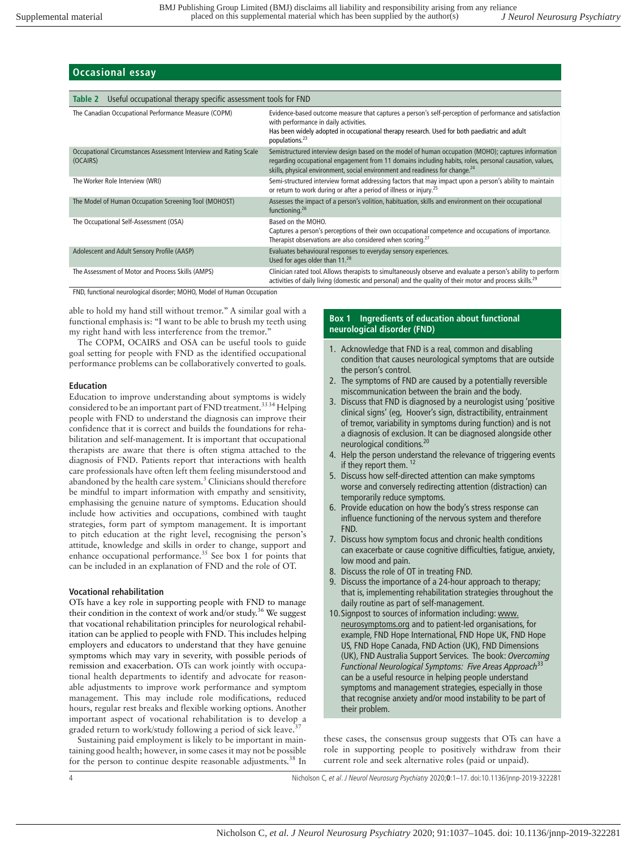| Useful occupational therapy specific assessment tools for FND<br>Table 2     |                                                                                                                                                                                                                                                                                                           |  |
|------------------------------------------------------------------------------|-----------------------------------------------------------------------------------------------------------------------------------------------------------------------------------------------------------------------------------------------------------------------------------------------------------|--|
| The Canadian Occupational Performance Measure (COPM)                         | Evidence-based outcome measure that captures a person's self-perception of performance and satisfaction<br>with performance in daily activities.<br>Has been widely adopted in occupational therapy research. Used for both paediatric and adult<br>populations. <sup>23</sup>                            |  |
| Occupational Circumstances Assessment Interview and Rating Scale<br>(OCAIRS) | Semistructured interview design based on the model of human occupation (MOHO); captures information<br>regarding occupational engagement from 11 domains including habits, roles, personal causation, values,<br>skills, physical environment, social environment and readiness for change. <sup>24</sup> |  |
| The Worker Role Interview (WRI)                                              | Semi-structured interview format addressing factors that may impact upon a person's ability to maintain<br>or return to work during or after a period of illness or injury. <sup>25</sup>                                                                                                                 |  |
| The Model of Human Occupation Screening Tool (MOHOST)                        | Assesses the impact of a person's volition, habituation, skills and environment on their occupational<br>functioning. <sup>26</sup>                                                                                                                                                                       |  |
| The Occupational Self-Assessment (OSA)                                       | Based on the MOHO.<br>Captures a person's perceptions of their own occupational competence and occupations of importance.<br>Therapist observations are also considered when scoring. <sup>27</sup>                                                                                                       |  |
| Adolescent and Adult Sensory Profile (AASP)                                  | Evaluates behavioural responses to everyday sensory experiences.<br>Used for ages older than 11. <sup>28</sup>                                                                                                                                                                                            |  |
| The Assessment of Motor and Process Skills (AMPS)                            | Clinician rated tool. Allows therapists to simultaneously observe and evaluate a person's ability to perform<br>activities of daily living (domestic and personal) and the quality of their motor and process skills. <sup>29</sup>                                                                       |  |

FND, functional neurological disorder; MOHO, Model of Human Occupation

able to hold my hand still without tremor." A similar goal with a functional emphasis is: "I want to be able to brush my teeth using my right hand with less interference from the tremor."

The COPM, OCAIRS and OSA can be useful tools to guide goal setting for people with FND as the identified occupational performance problems can be collaboratively converted to goals.

#### **Education**

Education to improve understanding about symptoms is widely considered to be an important part of FND treatment.<sup>33,34</sup> Helping people with FND to understand the diagnosis can improve their confidence that it is correct and builds the foundations for rehabilitation and self-management. It is important that occupational therapists are aware that there is often stigma attached to the diagnosis of FND. Patients report that interactions with health care professionals have often left them feeling misunderstood and abandoned by the health care system.<sup>3</sup> Clinicians should therefore be mindful to impart information with empathy and sensitivity, emphasising the genuine nature of symptoms. Education should include how activities and occupations, combined with taught strategies, form part of symptom management. It is important to pitch education at the right level, recognising the person's attitude, knowledge and skills in order to change, support and enhance occupational performance.<sup>35</sup> See box 1 for points that can be included in an explanation of FND and the role of OT.

#### **Vocational rehabilitation**

OTs have a key role in supporting people with FND to manage their condition in the context of work and/or study.<sup>36</sup> We suggest that vocational rehabilitation principles for neurological rehabilitation can be applied to people with FND. This includes helping employers and educators to understand that they have genuine symptoms which may vary in severity, with possible periods of remission and exacerbation. OTs can work jointly with occupational health departments to identify and advocate for reasonable adjustments to improve work performance and symptom management. This may include role modifications, reduced hours, regular rest breaks and flexible working options. Another important aspect of vocational rehabilitation is to develop a graded return to work/study following a period of sick leave.

Sustaining paid employment is likely to be important in maintaining good health; however, in some cases it may not be possible for the person to continue despite reasonable adjustments.<sup>38</sup> In

#### **Box 1 Ingredients of education about functional neurological disorder (FND)**

- 1. Acknowledge that FND is a real, common and disabling condition that causes neurological symptoms that are outside the person's control.
- 2. The symptoms of FND are caused by a potentially reversible miscommunication between the brain and the body.
- 3. Discuss that FND is diagnosed by a neurologist using 'positive clinical signs' (eg, Hoover's sign, distractibility, entrainment of tremor, variability in symptoms during function) and is not a diagnosis of exclusion. It can be diagnosed alongside other neurological conditions.<sup>20</sup>
- 4. Help the person understand the relevance of triggering events if they report them.  $1$
- 5. Discuss how self-directed attention can make symptoms worse and conversely redirecting attention (distraction) can temporarily reduce symptoms.
- 6. Provide education on how the body's stress response can influence functioning of the nervous system and therefore FND.
- 7. Discuss how symptom focus and chronic health conditions can exacerbate or cause cognitive difficulties, fatigue, anxiety, low mood and pain.
- 8. Discuss the role of OT in treating FND.
- 9. Discuss the importance of a 24-hour approach to therapy; that is, implementing rehabilitation strategies throughout the daily routine as part of self-management.
- 10. Signpost to sources of information including: www. neurosymptoms.org and to patient-led organisations, for example, FND Hope International, FND Hope UK, FND Hope US, FND Hope Canada, FND Action (UK), FND Dimensions (UK), FND Australia Support Services. The book: *Overcoming Functional Neurological Symptoms: Five Areas Approach*<sup>33</sup> can be a useful resource in helping people understand symptoms and management strategies, especially in those that recognise anxiety and/or mood instability to be part of their problem.

these cases, the consensus group suggests that OTs can have a role in supporting people to positively withdraw from their current role and seek alternative roles (paid or unpaid).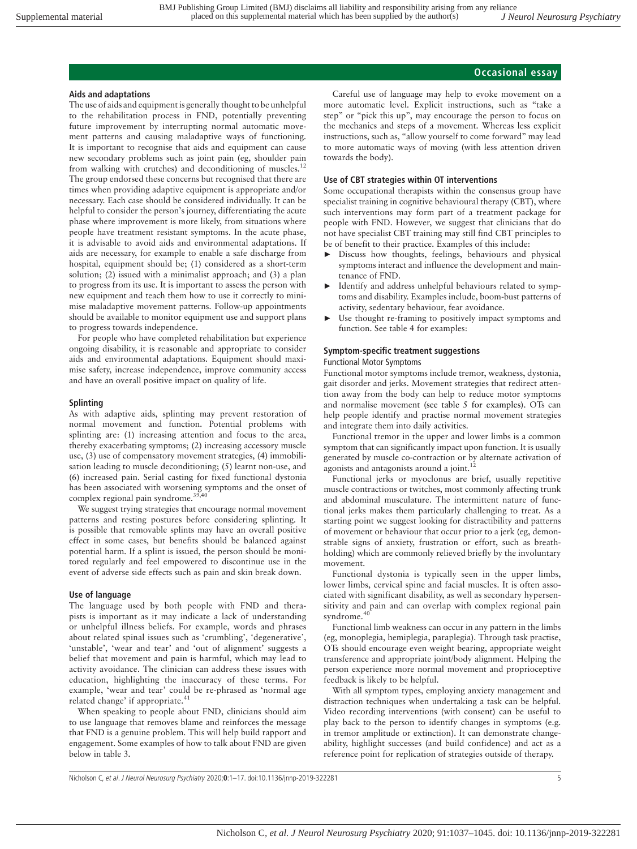## **Aids and adaptations**

The use of aids and equipment is generally thought to be unhelpful to the rehabilitation process in FND, potentially preventing future improvement by interrupting normal automatic movement patterns and causing maladaptive ways of functioning. It is important to recognise that aids and equipment can cause new secondary problems such as joint pain (eg, shoulder pain from walking with crutches) and deconditioning of muscles.<sup>12</sup> The group endorsed these concerns but recognised that there are times when providing adaptive equipment is appropriate and/or necessary. Each case should be considered individually. It can be helpful to consider the person's journey, differentiating the acute phase where improvement is more likely, from situations where people have treatment resistant symptoms. In the acute phase, it is advisable to avoid aids and environmental adaptations. If aids are necessary, for example to enable a safe discharge from hospital, equipment should be; (1) considered as a short-term solution; (2) issued with a minimalist approach; and (3) a plan to progress from its use. It is important to assess the person with new equipment and teach them how to use it correctly to minimise maladaptive movement patterns. Follow-up appointments should be available to monitor equipment use and support plans to progress towards independence.

For people who have completed rehabilitation but experience ongoing disability, it is reasonable and appropriate to consider aids and environmental adaptations. Equipment should maximise safety, increase independence, improve community access and have an overall positive impact on quality of life.

#### **Splinting**

As with adaptive aids, splinting may prevent restoration of normal movement and function. Potential problems with splinting are: (1) increasing attention and focus to the area, thereby exacerbating symptoms; (2) increasing accessory muscle use, (3) use of compensatory movement strategies, (4) immobilisation leading to muscle deconditioning; (5) learnt non-use, and (6) increased pain. Serial casting for fixed functional dystonia has been associated with worsening symptoms and the onset of complex regional pain syndrome.39,40

We suggest trying strategies that encourage normal movement patterns and resting postures before considering splinting. It is possible that removable splints may have an overall positive effect in some cases, but benefits should be balanced against potential harm. If a splint is issued, the person should be monitored regularly and feel empowered to discontinue use in the event of adverse side effects such as pain and skin break down.

#### **Use of language**

The language used by both people with FND and therapists is important as it may indicate a lack of understanding or unhelpful illness beliefs. For example, words and phrases about related spinal issues such as 'crumbling', 'degenerative', 'unstable', 'wear and tear' and 'out of alignment' suggests a belief that movement and pain is harmful, which may lead to activity avoidance. The clinician can address these issues with education, highlighting the inaccuracy of these terms. For example, 'wear and tear' could be re-phrased as 'normal age related change' if appropriate.<sup>41</sup>

When speaking to people about FND, clinicians should aim to use language that removes blame and reinforces the message that FND is a genuine problem. This will help build rapport and engagement. Some examples of how to talk about FND are given below in table 3*.*

Careful use of language may help to evoke movement on a more automatic level. Explicit instructions, such as "take a step" or "pick this up", may encourage the person to focus on the mechanics and steps of a movement. Whereas less explicit instructions, such as, "allow yourself to come forward" may lead to more automatic ways of moving (with less attention driven towards the body).

#### **Use of CBT strategies within OT interventions**

Some occupational therapists within the consensus group have specialist training in cognitive behavioural therapy (CBT), where such interventions may form part of a treatment package for people with FND. However, we suggest that clinicians that do not have specialist CBT training may still find CBT principles to be of benefit to their practice. Examples of this include:

- Discuss how thoughts, feelings, behaviours and physical symptoms interact and influence the development and maintenance of FND.
- ► Identify and address unhelpful behaviours related to symptoms and disability. Examples include, boom-bust patterns of activity, sedentary behaviour, fear avoidance.
- ► Use thought re-framing to positively impact symptoms and function. See table 4 for examples:

# **Symptom-specific treatment suggestions**

#### Functional Motor Symptoms

Functional motor symptoms include tremor, weakness, dystonia, gait disorder and jerks. Movement strategies that redirect attention away from the body can help to reduce motor symptoms and normalise movement (see table 5 for examples). OTs can help people identify and practise normal movement strategies and integrate them into daily activities.

Functional tremor in the upper and lower limbs is a common symptom that can significantly impact upon function. It is usually generated by muscle co-contraction or by alternate activation of agonists and antagonists around a joint.<sup>12</sup>

Functional jerks or myoclonus are brief, usually repetitive muscle contractions or twitches, most commonly affecting trunk and abdominal musculature. The intermittent nature of functional jerks makes them particularly challenging to treat. As a starting point we suggest looking for distractibility and patterns of movement or behaviour that occur prior to a jerk (eg, demonstrable signs of anxiety, frustration or effort, such as breathholding) which are commonly relieved briefly by the involuntary movement.

Functional dystonia is typically seen in the upper limbs, lower limbs, cervical spine and facial muscles. It is often associated with significant disability, as well as secondary hypersensitivity and pain and can overlap with complex regional pain syndrome.<sup>40</sup>

Functional limb weakness can occur in any pattern in the limbs (eg, monoplegia, hemiplegia, paraplegia). Through task practise, OTs should encourage even weight bearing, appropriate weight transference and appropriate joint/body alignment. Helping the person experience more normal movement and proprioceptive feedback is likely to be helpful.

With all symptom types, employing anxiety management and distraction techniques when undertaking a task can be helpful. Video recording interventions (with consent) can be useful to play back to the person to identify changes in symptoms (e.g. in tremor amplitude or extinction). It can demonstrate changeability, highlight successes (and build confidence) and act as a reference point for replication of strategies outside of therapy.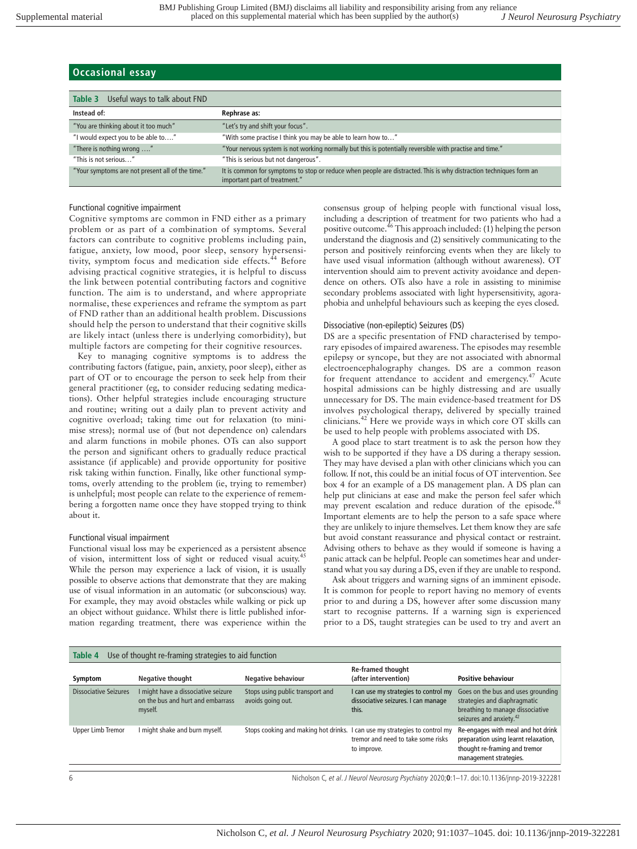|  | <b>Occasional essay</b> |
|--|-------------------------|
|  |                         |

| Table 3 Useful ways to talk about FND            |                                                                                                                                                     |
|--------------------------------------------------|-----------------------------------------------------------------------------------------------------------------------------------------------------|
| Instead of:                                      | Rephrase as:                                                                                                                                        |
| "You are thinking about it too much"             | "Let's try and shift your focus".                                                                                                                   |
| "I would expect you to be able to"               | "With some practise I think you may be able to learn how to"                                                                                        |
| "There is nothing wrong "                        | "Your nervous system is not working normally but this is potentially reversible with practise and time."                                            |
| "This is not serious"                            | "This is serious but not dangerous".                                                                                                                |
| "Your symptoms are not present all of the time." | It is common for symptoms to stop or reduce when people are distracted. This is why distraction techniques form an<br>important part of treatment." |

#### Functional cognitive impairment

Cognitive symptoms are common in FND either as a primary problem or as part of a combination of symptoms. Several factors can contribute to cognitive problems including pain, fatigue, anxiety, low mood, poor sleep, sensory hypersensitivity, symptom focus and medication side effects.<sup>44</sup> Before advising practical cognitive strategies, it is helpful to discuss the link between potential contributing factors and cognitive function. The aim is to understand, and where appropriate normalise, these experiences and reframe the symptom as part of FND rather than an additional health problem. Discussions should help the person to understand that their cognitive skills are likely intact (unless there is underlying comorbidity), but multiple factors are competing for their cognitive resources.

Key to managing cognitive symptoms is to address the contributing factors (fatigue, pain, anxiety, poor sleep), either as part of OT or to encourage the person to seek help from their general practitioner (eg, to consider reducing sedating medications). Other helpful strategies include encouraging structure and routine; writing out a daily plan to prevent activity and cognitive overload; taking time out for relaxation (to minimise stress); normal use of (but not dependence on) calendars and alarm functions in mobile phones. OTs can also support the person and significant others to gradually reduce practical assistance (if applicable) and provide opportunity for positive risk taking within function. Finally, like other functional symptoms, overly attending to the problem (ie, trying to remember) is unhelpful; most people can relate to the experience of remembering a forgotten name once they have stopped trying to think about it.

#### Functional visual impairment

Functional visual loss may be experienced as a persistent absence of vision, intermittent loss of sight or reduced visual acuity.<sup>45</sup> While the person may experience a lack of vision, it is usually possible to observe actions that demonstrate that they are making use of visual information in an automatic (or subconscious) way. For example, they may avoid obstacles while walking or pick up an object without guidance. Whilst there is little published information regarding treatment, there was experience within the

consensus group of helping people with functional visual loss, including a description of treatment for two patients who had a positive outcome. $46$  This approach included: (1) helping the person understand the diagnosis and (2) sensitively communicating to the person and positively reinforcing events when they are likely to have used visual information (although without awareness). OT intervention should aim to prevent activity avoidance and dependence on others. OTs also have a role in assisting to minimise secondary problems associated with light hypersensitivity, agoraphobia and unhelpful behaviours such as keeping the eyes closed.

#### Dissociative (non-epileptic) Seizures (DS)

DS are a specific presentation of FND characterised by temporary episodes of impaired awareness. The episodes may resemble epilepsy or syncope, but they are not associated with abnormal electroencephalography changes. DS are a common reason for frequent attendance to accident and emergency.<sup>47</sup> Acute hospital admissions can be highly distressing and are usually unnecessary for DS. The main evidence-based treatment for DS involves psychological therapy, delivered by specially trained clinicians.<sup>42</sup> Here we provide ways in which core OT skills can be used to help people with problems associated with DS.

A good place to start treatment is to ask the person how they wish to be supported if they have a DS during a therapy session. They may have devised a plan with other clinicians which you can follow. If not, this could be an initial focus of OT intervention. See box 4 for an example of a DS management plan. A DS plan can help put clinicians at ease and make the person feel safer which may prevent escalation and reduce duration of the episode.<sup>48</sup> Important elements are to help the person to a safe space where they are unlikely to injure themselves. Let them know they are safe but avoid constant reassurance and physical contact or restraint. Advising others to behave as they would if someone is having a panic attack can be helpful. People can sometimes hear and understand what you say during a DS, even if they are unable to respond.

Ask about triggers and warning signs of an imminent episode. It is common for people to report having no memory of events prior to and during a DS, however after some discussion many start to recognise patterns. If a warning sign is experienced prior to a DS, taught strategies can be used to try and avert an

| Use of thought re-framing strategies to aid function<br>Table 4 |                                                                                     |                                                                            |                                                                                       |                                                                                                                                               |
|-----------------------------------------------------------------|-------------------------------------------------------------------------------------|----------------------------------------------------------------------------|---------------------------------------------------------------------------------------|-----------------------------------------------------------------------------------------------------------------------------------------------|
| Symptom                                                         | <b>Negative thought</b>                                                             | <b>Negative behaviour</b>                                                  | <b>Re-framed thought</b><br>(after intervention)                                      | <b>Positive behaviour</b>                                                                                                                     |
| <b>Dissociative Seizures</b>                                    | I might have a dissociative seizure<br>on the bus and hurt and embarrass<br>myself. | Stops using public transport and<br>avoids going out.                      | I can use my strategies to control my<br>dissociative seizures. I can manage<br>this. | Goes on the bus and uses grounding<br>strategies and diaphragmatic<br>breathing to manage dissociative<br>seizures and anxiety. <sup>42</sup> |
| Upper Limb Tremor                                               | I might shake and burn myself.                                                      | Stops cooking and making hot drinks. I can use my strategies to control my | tremor and need to take some risks<br>to improve.                                     | Re-engages with meal and hot drink<br>preparation using learnt relaxation,<br>thought re-framing and tremor<br>management strategies.         |
|                                                                 |                                                                                     |                                                                            |                                                                                       |                                                                                                                                               |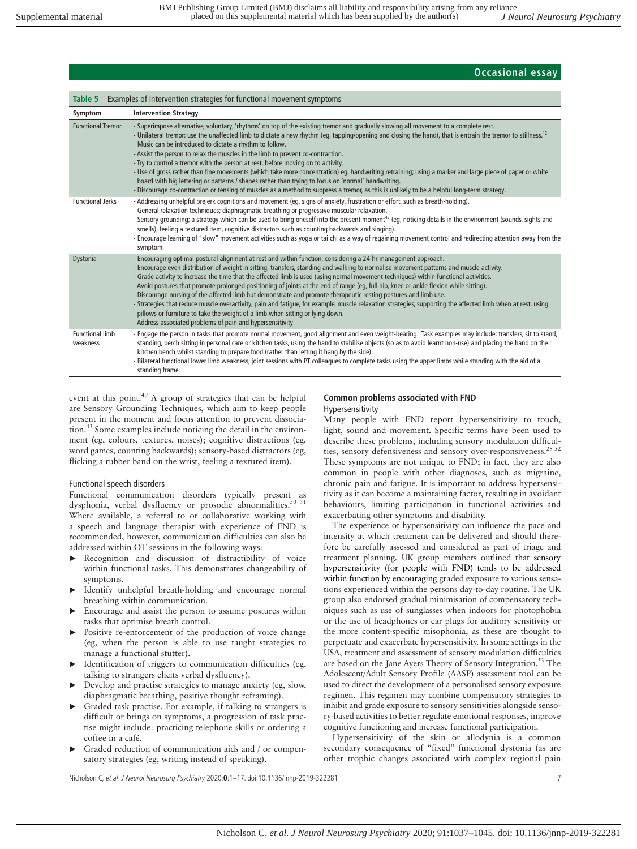| Examples of intervention strategies for functional movement symptoms<br>Table 5 |                                                                                                                                                                                                                                                                                                                                                                                                                                                                                                                                                                                                                                                                                                                                                                                                                                                                                                                                                                                 |  |
|---------------------------------------------------------------------------------|---------------------------------------------------------------------------------------------------------------------------------------------------------------------------------------------------------------------------------------------------------------------------------------------------------------------------------------------------------------------------------------------------------------------------------------------------------------------------------------------------------------------------------------------------------------------------------------------------------------------------------------------------------------------------------------------------------------------------------------------------------------------------------------------------------------------------------------------------------------------------------------------------------------------------------------------------------------------------------|--|
| Symptom                                                                         | <b>Intervention Strategy</b>                                                                                                                                                                                                                                                                                                                                                                                                                                                                                                                                                                                                                                                                                                                                                                                                                                                                                                                                                    |  |
| <b>Functional Tremor</b>                                                        | - Superimpose alternative, voluntary, 'rhythms' on top of the existing tremor and gradually slowing all movement to a complete rest.<br>- Unilateral tremor: use the unaffected limb to dictate a new rhythm (eq, tapping/opening and closing the hand), that is entrain the tremor to stillness. <sup>12</sup><br>Music can be introduced to dictate a rhythm to follow.<br>- Assist the person to relax the muscles in the limb to prevent co-contraction.<br>- Try to control a tremor with the person at rest, before moving on to activity.<br>- Use of gross rather than fine movements (which take more concentration) eg, handwriting retraining; using a marker and large piece of paper or white<br>board with big lettering or patterns / shapes rather than trying to focus on 'normal' handwriting.<br>- Discourage co-contraction or tensing of muscles as a method to suppress a tremor, as this is unlikely to be a helpful long-term strategy.                 |  |
| <b>Functional Jerks</b>                                                         | - Addressing unhelpful prejerk cognitions and movement (eg, signs of anxiety, frustration or effort, such as breath-holding).<br>- General relaxation techniques; diaphragmatic breathing or progressive muscular relaxation.<br>- Sensory grounding; a strategy which can be used to bring oneself into the present moment <sup>43</sup> (eq, noticing details in the environment (sounds, sights and<br>smells), feeling a textured item, cognitive distractors such as counting backwards and singing).<br>- Encourage learning of "slow" movement activities such as yoga or tai chi as a way of regaining movement control and redirecting attention away from the<br>symptom.                                                                                                                                                                                                                                                                                             |  |
| Dystonia                                                                        | - Encouraging optimal postural alignment at rest and within function, considering a 24-hr management approach.<br>- Encourage even distribution of weight in sitting, transfers, standing and walking to normalise movement patterns and muscle activity.<br>- Grade activity to increase the time that the affected limb is used (using normal movement techniques) within functional activities.<br>- Avoid postures that promote prolonged positioning of joints at the end of range (eq, full hip, knee or ankle flexion while sitting).<br>- Discourage nursing of the affected limb but demonstrate and promote therapeutic resting postures and limb use.<br>- Strategies that reduce muscle overactivity, pain and fatigue, for example, muscle relaxation strategies, supporting the affected limb when at rest, using<br>pillows or furniture to take the weight of a limb when sitting or lying down.<br>- Address associated problems of pain and hypersensitivity. |  |
| <b>Functional limb</b><br>weakness                                              | - Engage the person in tasks that promote normal movement, good alignment and even weight-bearing. Task examples may include: transfers, sit to stand,<br>standing, perch sitting in personal care or kitchen tasks, using the hand to stabilise objects (so as to avoid learnt non-use) and placing the hand on the<br>kitchen bench whilst standing to prepare food (rather than letting it hang by the side).<br>- Bilateral functional lower limb weakness; joint sessions with PT colleagues to complete tasks using the upper limbs while standing with the aid of a<br>standing frame.                                                                                                                                                                                                                                                                                                                                                                                   |  |

event at this point.<sup>49</sup> A group of strategies that can be helpful are Sensory Grounding Techniques, which aim to keep people present in the moment and focus attention to prevent dissociation.<sup>43</sup> Some examples include noticing the detail in the environment (eg, colours, textures, noises); cognitive distractions (eg, word games, counting backwards); sensory-based distractors (eg, flicking a rubber band on the wrist, feeling a textured item).

#### Functional speech disorders

Functional communication disorders typically present as dysphonia, verbal dysfluency or prosodic abnormalities.<sup>50 51</sup> Where available, a referral to or collaborative working with a speech and language therapist with experience of FND is recommended, however, communication difficulties can also be addressed within OT sessions in the following ways:

- ► Recognition and discussion of distractibility of voice within functional tasks. This demonstrates changeability of symptoms.
- Identify unhelpful breath-holding and encourage normal breathing within communication.
- Encourage and assist the person to assume postures within tasks that optimise breath control.
- Positive re-enforcement of the production of voice change (eg, when the person is able to use taught strategies to manage a functional stutter).
- ► Identification of triggers to communication difficulties (eg, talking to strangers elicits verbal dysfluency).
- Develop and practise strategies to manage anxiety (eg, slow, diaphragmatic breathing, positive thought reframing).
- Graded task practise. For example, if talking to strangers is difficult or brings on symptoms, a progression of task practise might include: practicing telephone skills or ordering a coffee in a café.
- Graded reduction of communication aids and / or compensatory strategies (eg, writing instead of speaking).

#### **Common problems associated with FND** Hypersensitivity

Many people with FND report hypersensitivity to touch, light, sound and movement. Specific terms have been used to describe these problems, including sensory modulation difficulties, sensory defensiveness and sensory over-responsiveness.<sup>28 52</sup> These symptoms are not unique to FND; in fact, they are also common in people with other diagnoses, such as migraine, chronic pain and fatigue. It is important to address hypersensitivity as it can become a maintaining factor, resulting in avoidant behaviours, limiting participation in functional activities and exacerbating other symptoms and disability.

The experience of hypersensitivity can influence the pace and intensity at which treatment can be delivered and should therefore be carefully assessed and considered as part of triage and treatment planning. UK group members outlined that sensory hypersensitivity (for people with FND) tends to be addressed within function by encouraging graded exposure to various sensations experienced within the persons day-to-day routine. The UK group also endorsed gradual minimisation of compensatory techniques such as use of sunglasses when indoors for photophobia or the use of headphones or ear plugs for auditory sensitivity or the more content-specific misophonia, as these are thought to perpetuate and exacerbate hypersensitivity. In some settings in the USA, treatment and assessment of sensory modulation difficulties are based on the Jane Ayers Theory of Sensory Integration.<sup>53</sup> The Adolescent/Adult Sensory Profile (AASP) assessment tool can be used to direct the development of a personalised sensory exposure regimen. This regimen may combine compensatory strategies to inhibit and grade exposure to sensory sensitivities alongside sensory-based activities to better regulate emotional responses, improve cognitive functioning and increase functional participation.

Hypersensitivity of the skin or allodynia is a common secondary consequence of "fixed" functional dystonia (as are other trophic changes associated with complex regional pain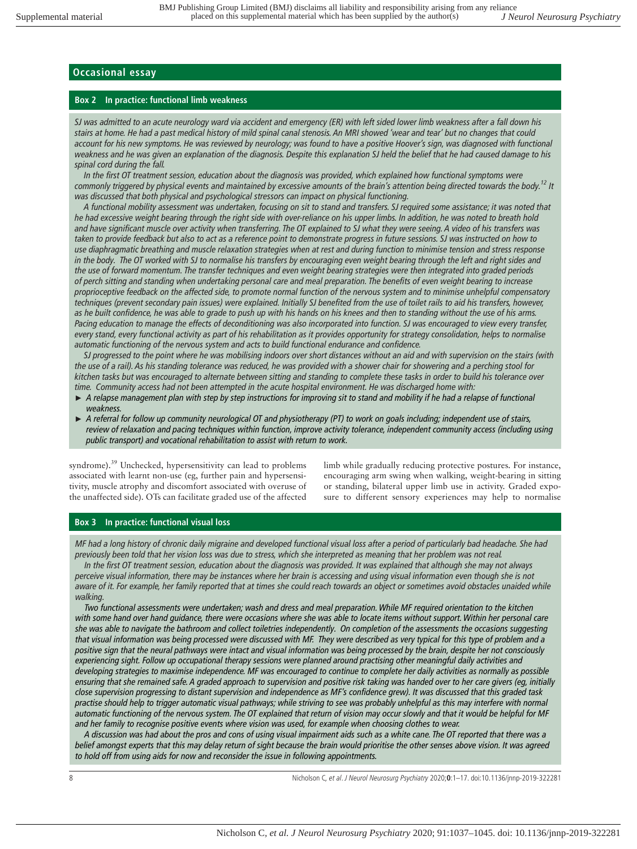# **Box 2 In practice: functional limb weakness**

*SJ was admitted to an acute neurology ward via accident and emergency (ER) with left sided lower limb weakness after a fall down his stairs at home. He had a past medical history of mild spinal canal stenosis. An MRI showed 'wear and tear' but no changes that could account for his new symptoms. He was reviewed by neurology; was found to have a positive Hoover's sign, was diagnosed with functional weakness and he was given an explanation of the diagnosis. Despite this explanation SJ held the belief that he had caused damage to his spinal cord during the fall.* 

*In the first OT treatment session, education about the diagnosis was provided, which explained how functional symptoms were commonly triggered by physical events and maintained by excessive amounts of the brain's attention being directed towards the body.<sup>12</sup> It was discussed that both physical and psychological stressors can impact on physical functioning.*

*A functional mobility assessment was undertaken, focusing on sit to stand and transfers. SJ required some assistance; it was noted that he had excessive weight bearing through the right side with over-reliance on his upper limbs. In addition, he was noted to breath hold and have significant muscle over activity when transferring. The OT explained to SJ what they were seeing. A video of his transfers was taken to provide feedback but also to act as a reference point to demonstrate progress in future sessions. SJ was instructed on how to use diaphragmatic breathing and muscle relaxation strategies when at rest and during function to minimise tension and stress response*  in the body. The OT worked with SJ to normalise his transfers by encouraging even weight bearing through the left and right sides and *the use of forward momentum. The transfer techniques and even weight bearing strategies were then integrated into graded periods of perch sitting and standing when undertaking personal care and meal preparation. The benefits of even weight bearing to increase proprioceptive feedback on the affected side, to promote normal function of the nervous system and to minimise unhelpful compensatory techniques (prevent secondary pain issues) were explained. Initially SJ benefited from the use of toilet rails to aid his transfers, however, as he built confidence, he was able to grade to push up with his hands on his knees and then to standing without the use of his arms. Pacing education to manage the effects of deconditioning was also incorporated into function. SJ was encouraged to view every transfer, every stand, every functional activity as part of his rehabilitation as it provides opportunity for strategy consolidation, helps to normalise automatic functioning of the nervous system and acts to build functional endurance and confidence.* 

*SJ progressed to the point where he was mobilising indoors over short distances without an aid and with supervision on the stairs (with the use of a rail). As his standing tolerance was reduced, he was provided with a shower chair for showering and a perching stool for kitchen tasks but was encouraged to alternate between sitting and standing to complete these tasks in order to build his tolerance over time. Community access had not been attempted in the acute hospital environment. He was discharged home with:*

- ► *A relapse management plan with step by step instructions for improving sit to stand and mobility if he had a relapse of functional weakness.*
- ► *A referral for follow up community neurological OT and physiotherapy (PT) to work on goals including; independent use of stairs, review of relaxation and pacing techniques within function, improve activity tolerance, independent community access (including using public transport) and vocational rehabilitation to assist with return to work.*

syndrome).<sup>39</sup> Unchecked, hypersensitivity can lead to problems associated with learnt non-use (eg, further pain and hypersensitivity, muscle atrophy and discomfort associated with overuse of the unaffected side). OTs can facilitate graded use of the affected limb while gradually reducing protective postures. For instance, encouraging arm swing when walking, weight-bearing in sitting or standing, bilateral upper limb use in activity. Graded exposure to different sensory experiences may help to normalise

# **Box 3 In practice: functional visual loss**

*MF had a long history of chronic daily migraine and developed functional visual loss after a period of particularly bad headache. She had previously been told that her vision loss was due to stress, which she interpreted as meaning that her problem was not real.* 

*In the first OT treatment session, education about the diagnosis was provided. It was explained that although she may not always perceive visual information, there may be instances where her brain is accessing and using visual information even though she is not*  aware of it. For example, her family reported that at times she could reach towards an object or sometimes avoid obstacles unaided while *walking.* 

*Two functional assessments were undertaken; wash and dress and meal preparation. While MF required orientation to the kitchen with some hand over hand guidance, there were occasions where she was able to locate items without support. Within her personal care she was able to navigate the bathroom and collect toiletries independently. On completion of the assessments the occasions suggesting that visual information was being processed were discussed with MF. They were described as very typical for this type of problem and a positive sign that the neural pathways were intact and visual information was being processed by the brain, despite her not consciously experiencing sight. Follow up occupational therapy sessions were planned around practising other meaningful daily activities and developing strategies to maximise independence. MF was encouraged to continue to complete her daily activities as normally as possible ensuring that she remained safe. A graded approach to supervision and positive risk taking was handed over to her care givers (eg, initially close supervision progressing to distant supervision and independence as MF's confidence grew). It was discussed that this graded task practise should help to trigger automatic visual pathways; while striving to see was probably unhelpful as this may interfere with normal automatic functioning of the nervous system. The OT explained that return of vision may occur slowly and that it would be helpful for MF and her family to recognise positive events where vision was used, for example when choosing clothes to wear.* 

*A discussion was had about the pros and cons of using visual impairment aids such as a white cane. The OT reported that there was a belief amongst experts that this may delay return of sight because the brain would prioritise the other senses above vision. It was agreed to hold off from using aids for now and reconsider the issue in following appointments.*

8 Nicholson C, et al. J Neurol Neurosurg Psychiatry 2020;**0**:1–17. doi:10.1136/jnnp-2019-322281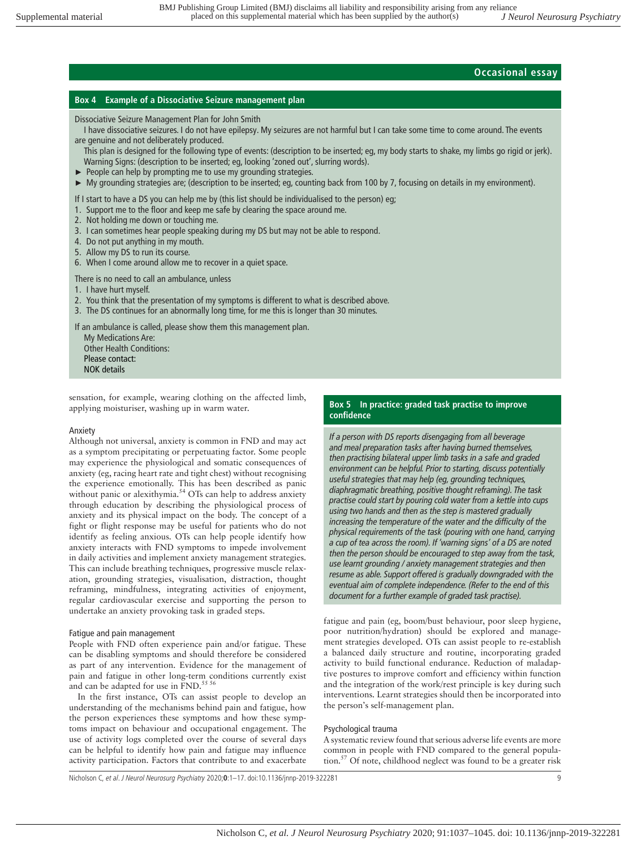### **Box 4 Example of a Dissociative Seizure management plan**

Dissociative Seizure Management Plan for John Smith

- I have dissociative seizures. I do not have epilepsy. My seizures are not harmful but I can take some time to come around. The events are genuine and not deliberately produced.
- This plan is designed for the following type of events: (description to be inserted; eg, my body starts to shake, my limbs go rigid or jerk). Warning Signs: (description to be inserted; eg, looking 'zoned out', slurring words).
- ► People can help by prompting me to use my grounding strategies.
- ► My grounding strategies are; (description to be inserted; eg, counting back from 100 by 7, focusing on details in my environment).

If I start to have a DS you can help me by (this list should be individualised to the person) eg;

- 1. Support me to the floor and keep me safe by clearing the space around me.
- 2. Not holding me down or touching me.
- 3. I can sometimes hear people speaking during my DS but may not be able to respond.
- 4. Do not put anything in my mouth.
- 5. Allow my DS to run its course.

6. When I come around allow me to recover in a quiet space.

- There is no need to call an ambulance, unless
- 1. I have hurt myself.
- 2. You think that the presentation of my symptoms is different to what is described above.
- 3. The DS continues for an abnormally long time, for me this is longer than 30 minutes.

If an ambulance is called, please show them this management plan.

My Medications Are: Other Health Conditions: Please contact: NOK details

sensation, for example, wearing clothing on the affected limb, applying moisturiser, washing up in warm water.

#### Anxiety

Although not universal, anxiety is common in FND and may act as a symptom precipitating or perpetuating factor. Some people may experience the physiological and somatic consequences of anxiety (eg, racing heart rate and tight chest) without recognising the experience emotionally. This has been described as panic without panic or alexithymia.<sup>54</sup> OTs can help to address anxiety through education by describing the physiological process of anxiety and its physical impact on the body. The concept of a fight or flight response may be useful for patients who do not identify as feeling anxious. OTs can help people identify how anxiety interacts with FND symptoms to impede involvement in daily activities and implement anxiety management strategies. This can include breathing techniques, progressive muscle relaxation, grounding strategies, visualisation, distraction, thought reframing, mindfulness, integrating activities of enjoyment, regular cardiovascular exercise and supporting the person to undertake an anxiety provoking task in graded steps.

#### Fatigue and pain management

People with FND often experience pain and/or fatigue. These can be disabling symptoms and should therefore be considered as part of any intervention. Evidence for the management of pain and fatigue in other long-term conditions currently exist and can be adapted for use in FND.<sup>55 56</sup>

In the first instance, OTs can assist people to develop an understanding of the mechanisms behind pain and fatigue, how the person experiences these symptoms and how these symptoms impact on behaviour and occupational engagement. The use of activity logs completed over the course of several days can be helpful to identify how pain and fatigue may influence activity participation. Factors that contribute to and exacerbate

#### **Box 5 In practice: graded task practise to improve confidence**

*If a person with DS reports disengaging from all beverage and meal preparation tasks after having burned themselves, then practising bilateral upper limb tasks in a safe and graded environment can be helpful. Prior to starting, discuss potentially useful strategies that may help (eg, grounding techniques, diaphragmatic breathing, positive thought reframing). The task practise could start by pouring cold water from a kettle into cups using two hands and then as the step is mastered gradually increasing the temperature of the water and the difficulty of the physical requirements of the task (pouring with one hand, carrying a cup of tea across the room). If 'warning signs' of a DS are noted then the person should be encouraged to step away from the task, use learnt grounding / anxiety management strategies and then resume as able. Support offered is gradually downgraded with the eventual aim of complete independence. (Refer to the end of this document for a further example of graded task practise).*

fatigue and pain (eg, boom/bust behaviour, poor sleep hygiene, poor nutrition/hydration) should be explored and management strategies developed. OTs can assist people to re-establish a balanced daily structure and routine, incorporating graded activity to build functional endurance. Reduction of maladaptive postures to improve comfort and efficiency within function and the integration of the work/rest principle is key during such interventions. Learnt strategies should then be incorporated into the person's self-management plan.

#### Psychological trauma

A systematic review found that serious adverse life events are more common in people with FND compared to the general population.<sup>57</sup> Of note, childhood neglect was found to be a greater risk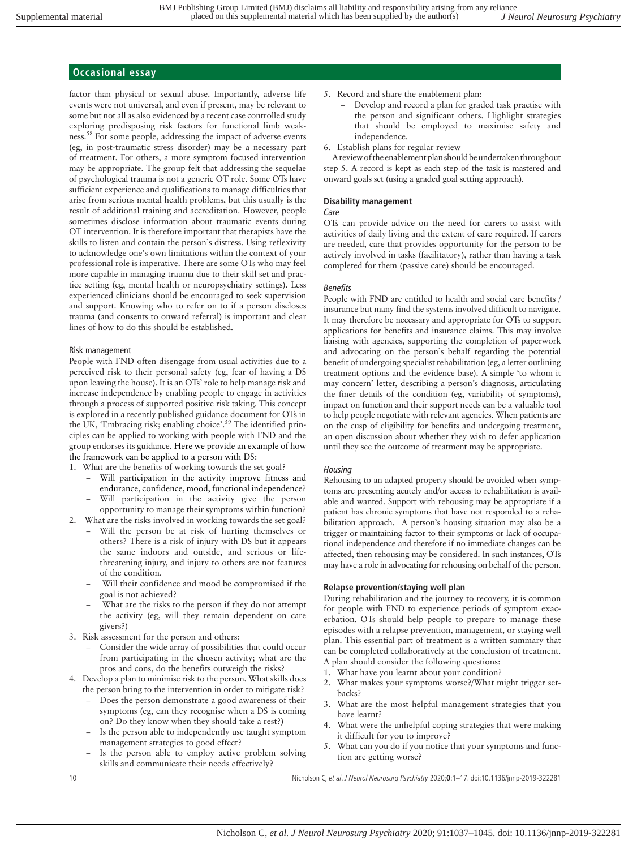factor than physical or sexual abuse. Importantly, adverse life events were not universal, and even if present, may be relevant to some but not all as also evidenced by a recent case controlled study exploring predisposing risk factors for functional limb weakness.<sup>58</sup> For some people, addressing the impact of adverse events (eg, in post-traumatic stress disorder) may be a necessary part of treatment. For others, a more symptom focused intervention may be appropriate. The group felt that addressing the sequelae of psychological trauma is not a generic OT role. Some OTs have sufficient experience and qualifications to manage difficulties that arise from serious mental health problems, but this usually is the result of additional training and accreditation. However, people sometimes disclose information about traumatic events during OT intervention. It is therefore important that therapists have the skills to listen and contain the person's distress. Using reflexivity to acknowledge one's own limitations within the context of your professional role is imperative. There are some OTs who may feel more capable in managing trauma due to their skill set and practice setting (eg, mental health or neuropsychiatry settings). Less experienced clinicians should be encouraged to seek supervision and support. Knowing who to refer on to if a person discloses trauma (and consents to onward referral) is important and clear lines of how to do this should be established.

#### Risk management

People with FND often disengage from usual activities due to a perceived risk to their personal safety (eg, fear of having a DS upon leaving the house). It is an OTs' role to help manage risk and increase independence by enabling people to engage in activities through a process of supported positive risk taking. This concept is explored in a recently published guidance document for OTs in the UK, 'Embracing risk; enabling choice'.<sup>59</sup> The identified principles can be applied to working with people with FND and the group endorses its guidance. Here we provide an example of how the framework can be applied to a person with DS:

- 1. What are the benefits of working towards the set goal?
	- Will participation in the activity improve fitness and endurance, confidence, mood, functional independence?
	- Will participation in the activity give the person opportunity to manage their symptoms within function?
- 2. What are the risks involved in working towards the set goal?
	- Will the person be at risk of hurting themselves or others? There is a risk of injury with DS but it appears the same indoors and outside, and serious or lifethreatening injury, and injury to others are not features of the condition.
	- Will their confidence and mood be compromised if the goal is not achieved?
	- What are the risks to the person if they do not attempt the activity (eg, will they remain dependent on care givers?)
- 3. Risk assessment for the person and others:
	- Consider the wide array of possibilities that could occur from participating in the chosen activity; what are the pros and cons, do the benefits outweigh the risks?
- 4. Develop a plan to minimise risk to the person. What skills does the person bring to the intervention in order to mitigate risk?
	- Does the person demonstrate a good awareness of their symptoms (eg, can they recognise when a DS is coming on? Do they know when they should take a rest?)
	- Is the person able to independently use taught symptom management strategies to good effect?
	- Is the person able to employ active problem solving skills and communicate their needs effectively?
- 
- 5. Record and share the enablement plan:
	- Develop and record a plan for graded task practise with the person and significant others. Highlight strategies that should be employed to maximise safety and independence.
- 6. Establish plans for regular review

A review of the enablement plan should be undertaken throughout step 5. A record is kept as each step of the task is mastered and onward goals set (using a graded goal setting approach).

#### **Disability management**

#### *Care*

OTs can provide advice on the need for carers to assist with activities of daily living and the extent of care required. If carers are needed, care that provides opportunity for the person to be actively involved in tasks (facilitatory), rather than having a task completed for them (passive care) should be encouraged.

#### *Benefits*

People with FND are entitled to health and social care benefits / insurance but many find the systems involved difficult to navigate. It may therefore be necessary and appropriate for OTs to support applications for benefits and insurance claims. This may involve liaising with agencies, supporting the completion of paperwork and advocating on the person's behalf regarding the potential benefit of undergoing specialist rehabilitation (eg, a letter outlining treatment options and the evidence base). A simple 'to whom it may concern' letter, describing a person's diagnosis, articulating the finer details of the condition (eg, variability of symptoms), impact on function and their support needs can be a valuable tool to help people negotiate with relevant agencies. When patients are on the cusp of eligibility for benefits and undergoing treatment, an open discussion about whether they wish to defer application until they see the outcome of treatment may be appropriate.

#### *Housing*

Rehousing to an adapted property should be avoided when symptoms are presenting acutely and/or access to rehabilitation is available and wanted. Support with rehousing may be appropriate if a patient has chronic symptoms that have not responded to a rehabilitation approach. A person's housing situation may also be a trigger or maintaining factor to their symptoms or lack of occupational independence and therefore if no immediate changes can be affected, then rehousing may be considered. In such instances, OTs may have a role in advocating for rehousing on behalf of the person.

#### **Relapse prevention/staying well plan**

During rehabilitation and the journey to recovery, it is common for people with FND to experience periods of symptom exacerbation. OTs should help people to prepare to manage these episodes with a relapse prevention, management, or staying well plan. This essential part of treatment is a written summary that can be completed collaboratively at the conclusion of treatment. A plan should consider the following questions:

- 1. What have you learnt about your condition?
- 2. What makes your symptoms worse?/What might trigger setbacks?
- 3. What are the most helpful management strategies that you have learnt?
- 4. What were the unhelpful coping strategies that were making it difficult for you to improve?
- 5. What can you do if you notice that your symptoms and function are getting worse?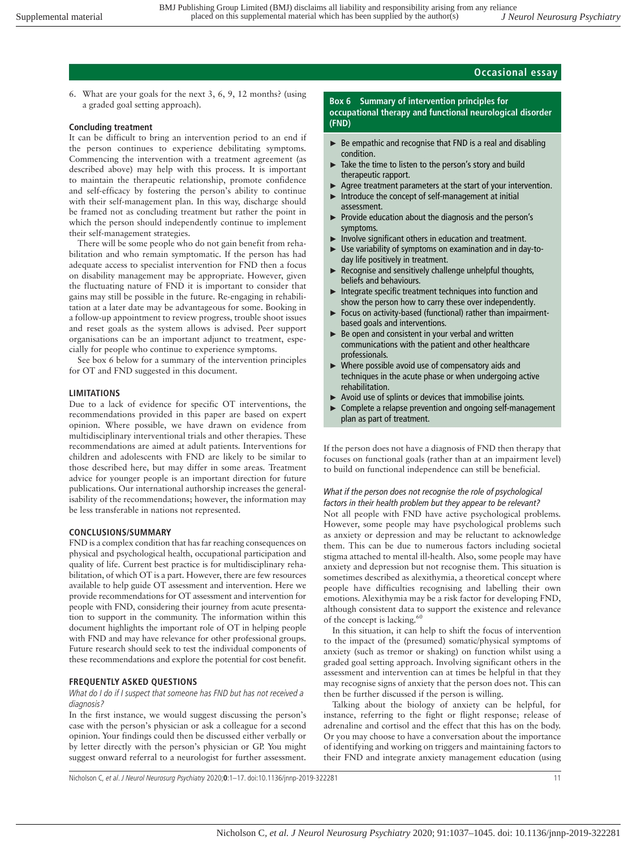6. What are your goals for the next 3, 6, 9, 12 months? (using a graded goal setting approach).

# **Concluding treatment**

It can be difficult to bring an intervention period to an end if the person continues to experience debilitating symptoms. Commencing the intervention with a treatment agreement (as described above) may help with this process. It is important to maintain the therapeutic relationship, promote confidence and self-efficacy by fostering the person's ability to continue with their self-management plan. In this way, discharge should be framed not as concluding treatment but rather the point in which the person should independently continue to implement their self-management strategies.

There will be some people who do not gain benefit from rehabilitation and who remain symptomatic. If the person has had adequate access to specialist intervention for FND then a focus on disability management may be appropriate. However, given the fluctuating nature of FND it is important to consider that gains may still be possible in the future. Re-engaging in rehabilitation at a later date may be advantageous for some. Booking in a follow-up appointment to review progress, trouble shoot issues and reset goals as the system allows is advised. Peer support organisations can be an important adjunct to treatment, especially for people who continue to experience symptoms.

See box 6 below for a summary of the intervention principles for OT and FND suggested in this document.

#### **LIMITATIONS**

Due to a lack of evidence for specific OT interventions, the recommendations provided in this paper are based on expert opinion. Where possible, we have drawn on evidence from multidisciplinary interventional trials and other therapies. These recommendations are aimed at adult patients. Interventions for children and adolescents with FND are likely to be similar to those described here, but may differ in some areas. Treatment advice for younger people is an important direction for future publications. Our international authorship increases the generalisability of the recommendations; however, the information may be less transferable in nations not represented.

#### **CONCLUSIONS/SUMMARY**

FND is a complex condition that has far reaching consequences on physical and psychological health, occupational participation and quality of life. Current best practice is for multidisciplinary rehabilitation, of which OT is a part. However, there are few resources available to help guide OT assessment and intervention. Here we provide recommendations for OT assessment and intervention for people with FND, considering their journey from acute presentation to support in the community. The information within this document highlights the important role of OT in helping people with FND and may have relevance for other professional groups. Future research should seek to test the individual components of these recommendations and explore the potential for cost benefit.

### **FREQUENTLY ASKED QUESTIONS**

#### What do I do if I suspect that someone has FND but has not received a diagnosis?

In the first instance, we would suggest discussing the person's case with the person's physician or ask a colleague for a second opinion. Your findings could then be discussed either verbally or by letter directly with the person's physician or GP. You might suggest onward referral to a neurologist for further assessment.

**Box 6 Summary of intervention principles for occupational therapy and functional neurological disorder (FND)** 

- ► Be empathic and recognise that FND is a real and disabling condition.
- Take the time to listen to the person's story and build therapeutic rapport.
- ► Agree treatment parameters at the start of your intervention.
- ► Introduce the concept of self-management at initial assessment.
- ► Provide education about the diagnosis and the person's symptoms.
- ► Involve significant others in education and treatment.
- ► Use variability of symptoms on examination and in day-today life positively in treatment.
- ► Recognise and sensitively challenge unhelpful thoughts, beliefs and behaviours.
- ► Integrate specific treatment techniques into function and show the person how to carry these over independently.
- ► Focus on activity-based (functional) rather than impairmentbased goals and interventions.
- $\blacktriangleright$  Be open and consistent in your verbal and written communications with the patient and other healthcare professionals.
- ► Where possible avoid use of compensatory aids and techniques in the acute phase or when undergoing active rehabilitation.
- Avoid use of splints or devices that immobilise joints.
- ► Complete a relapse prevention and ongoing self-management plan as part of treatment.

If the person does not have a diagnosis of FND then therapy that focuses on functional goals (rather than at an impairment level) to build on functional independence can still be beneficial.

# *What if the person does not recognise the role of psychological factors in their health problem but they appear to be relevant?*

Not all people with FND have active psychological problems. However, some people may have psychological problems such as anxiety or depression and may be reluctant to acknowledge them. This can be due to numerous factors including societal stigma attached to mental ill-health. Also, some people may have anxiety and depression but not recognise them. This situation is sometimes described as alexithymia, a theoretical concept where people have difficulties recognising and labelling their own emotions. Alexithymia may be a risk factor for developing FND, although consistent data to support the existence and relevance of the concept is lacking.<sup>60</sup>

In this situation, it can help to shift the focus of intervention to the impact of the (presumed) somatic/physical symptoms of anxiety (such as tremor or shaking) on function whilst using a graded goal setting approach. Involving significant others in the assessment and intervention can at times be helpful in that they may recognise signs of anxiety that the person does not. This can then be further discussed if the person is willing.

Talking about the biology of anxiety can be helpful, for instance, referring to the fight or flight response; release of adrenaline and cortisol and the effect that this has on the body. Or you may choose to have a conversation about the importance of identifying and working on triggers and maintaining factors to their FND and integrate anxiety management education (using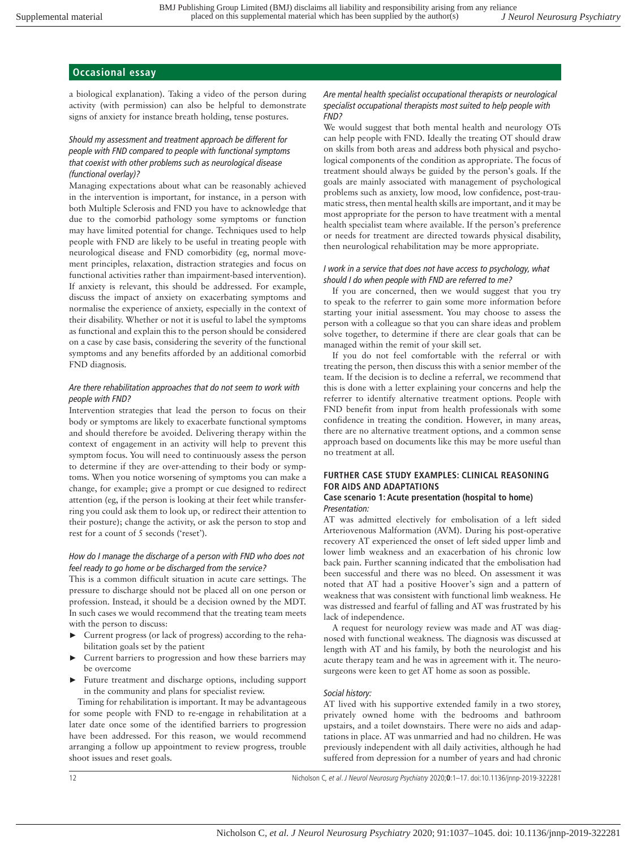a biological explanation). Taking a video of the person during activity (with permission) can also be helpful to demonstrate signs of anxiety for instance breath holding, tense postures.

#### *Should my assessment and treatment approach be different for people with FND compared to people with functional symptoms that coexist with other problems such as neurological disease (functional overlay)?*

Managing expectations about what can be reasonably achieved in the intervention is important, for instance, in a person with both Multiple Sclerosis and FND you have to acknowledge that due to the comorbid pathology some symptoms or function may have limited potential for change. Techniques used to help people with FND are likely to be useful in treating people with neurological disease and FND comorbidity (eg, normal movement principles, relaxation, distraction strategies and focus on functional activities rather than impairment-based intervention). If anxiety is relevant, this should be addressed. For example, discuss the impact of anxiety on exacerbating symptoms and normalise the experience of anxiety, especially in the context of their disability. Whether or not it is useful to label the symptoms as functional and explain this to the person should be considered on a case by case basis, considering the severity of the functional symptoms and any benefits afforded by an additional comorbid FND diagnosis.

#### *Are there rehabilitation approaches that do not seem to work with people with FND?*

Intervention strategies that lead the person to focus on their body or symptoms are likely to exacerbate functional symptoms and should therefore be avoided. Delivering therapy within the context of engagement in an activity will help to prevent this symptom focus. You will need to continuously assess the person to determine if they are over-attending to their body or symptoms. When you notice worsening of symptoms you can make a change, for example; give a prompt or cue designed to redirect attention (eg, if the person is looking at their feet while transferring you could ask them to look up, or redirect their attention to their posture); change the activity, or ask the person to stop and rest for a count of 5 seconds ('reset').

#### *How do I manage the discharge of a person with FND who does not feel ready to go home or be discharged from the service?*

This is a common difficult situation in acute care settings. The pressure to discharge should not be placed all on one person or profession. Instead, it should be a decision owned by the MDT. In such cases we would recommend that the treating team meets with the person to discuss:

- ► Current progress (or lack of progress) according to the rehabilitation goals set by the patient
- ► Current barriers to progression and how these barriers may be overcome
- ► Future treatment and discharge options, including support in the community and plans for specialist review.

Timing for rehabilitation is important. It may be advantageous for some people with FND to re-engage in rehabilitation at a later date once some of the identified barriers to progression have been addressed. For this reason, we would recommend arranging a follow up appointment to review progress, trouble shoot issues and reset goals.

*Are mental health specialist occupational therapists or neurological specialist occupational therapists most suited to help people with FND?* 

We would suggest that both mental health and neurology OTs can help people with FND. Ideally the treating OT should draw on skills from both areas and address both physical and psychological components of the condition as appropriate. The focus of treatment should always be guided by the person's goals. If the goals are mainly associated with management of psychological problems such as anxiety, low mood, low confidence, post-traumatic stress, then mental health skills are important, and it may be most appropriate for the person to have treatment with a mental health specialist team where available. If the person's preference or needs for treatment are directed towards physical disability, then neurological rehabilitation may be more appropriate.

#### *I work in a service that does not have access to psychology, what should I do when people with FND are referred to me?*

If you are concerned, then we would suggest that you try to speak to the referrer to gain some more information before starting your initial assessment. You may choose to assess the person with a colleague so that you can share ideas and problem solve together, to determine if there are clear goals that can be managed within the remit of your skill set.

If you do not feel comfortable with the referral or with treating the person, then discuss this with a senior member of the team. If the decision is to decline a referral, we recommend that this is done with a letter explaining your concerns and help the referrer to identify alternative treatment options. People with FND benefit from input from health professionals with some confidence in treating the condition. However, in many areas, there are no alternative treatment options, and a common sense approach based on documents like this may be more useful than no treatment at all.

#### **FURTHER CASE STUDY EXAMPLES: CLINICAL REASONING FOR AIDS AND ADAPTATIONS**

#### **Case scenario 1: Acute presentation (hospital to home)** *Presentation:*

AT was admitted electively for embolisation of a left sided Arteriovenous Malformation (AVM). During his post-operative recovery AT experienced the onset of left sided upper limb and lower limb weakness and an exacerbation of his chronic low back pain. Further scanning indicated that the embolisation had been successful and there was no bleed. On assessment it was noted that AT had a positive Hoover's sign and a pattern of weakness that was consistent with functional limb weakness. He was distressed and fearful of falling and AT was frustrated by his lack of independence.

A request for neurology review was made and AT was diagnosed with functional weakness. The diagnosis was discussed at length with AT and his family, by both the neurologist and his acute therapy team and he was in agreement with it. The neurosurgeons were keen to get AT home as soon as possible.

#### *Social history:*

AT lived with his supportive extended family in a two storey, privately owned home with the bedrooms and bathroom upstairs, and a toilet downstairs. There were no aids and adaptations in place. AT was unmarried and had no children. He was previously independent with all daily activities, although he had suffered from depression for a number of years and had chronic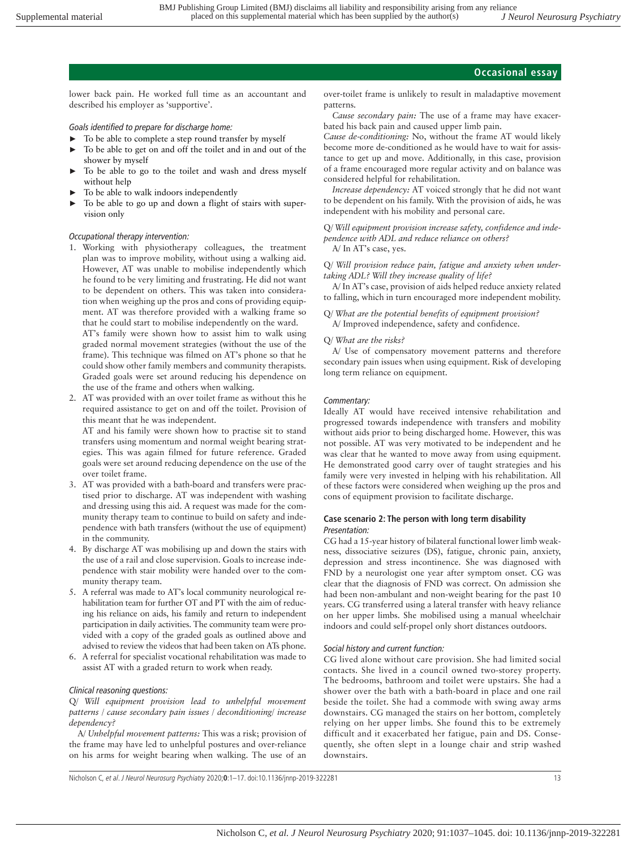lower back pain. He worked full time as an accountant and described his employer as 'supportive'.

# *Goals identified to prepare for discharge home:*

- To be able to complete a step round transfer by myself
- To be able to get on and off the toilet and in and out of the shower by myself
- To be able to go to the toilet and wash and dress myself without help
- To be able to walk indoors independently
- To be able to go up and down a flight of stairs with supervision only

# *Occupational therapy intervention:*

1. Working with physiotherapy colleagues, the treatment plan was to improve mobility, without using a walking aid. However, AT was unable to mobilise independently which he found to be very limiting and frustrating. He did not want to be dependent on others. This was taken into consideration when weighing up the pros and cons of providing equipment. AT was therefore provided with a walking frame so that he could start to mobilise independently on the ward.

AT's family were shown how to assist him to walk using graded normal movement strategies (without the use of the frame). This technique was filmed on AT's phone so that he could show other family members and community therapists. Graded goals were set around reducing his dependence on the use of the frame and others when walking.

2. AT was provided with an over toilet frame as without this he required assistance to get on and off the toilet. Provision of this meant that he was independent.

AT and his family were shown how to practise sit to stand transfers using momentum and normal weight bearing strategies. This was again filmed for future reference. Graded goals were set around reducing dependence on the use of the over toilet frame.

- 3. AT was provided with a bath-board and transfers were practised prior to discharge. AT was independent with washing and dressing using this aid. A request was made for the community therapy team to continue to build on safety and independence with bath transfers (without the use of equipment) in the community.
- 4. By discharge AT was mobilising up and down the stairs with the use of a rail and close supervision. Goals to increase independence with stair mobility were handed over to the community therapy team.
- 5. A referral was made to AT's local community neurological rehabilitation team for further OT and PT with the aim of reducing his reliance on aids, his family and return to independent participation in daily activities. The community team were provided with a copy of the graded goals as outlined above and advised to review the videos that had been taken on ATs phone.
- 6. A referral for specialist vocational rehabilitation was made to assist AT with a graded return to work when ready.

# *Clinical reasoning questions:*

Q/ *Will equipment provision lead to unhelpful movement patterns / cause secondary pain issues / deconditioning/ increase dependency?*

A/ *Unhelpful movement patterns:* This was a risk; provision of the frame may have led to unhelpful postures and over-reliance on his arms for weight bearing when walking. The use of an

over-toilet frame is unlikely to result in maladaptive movement patterns.

*Cause secondary pain:* The use of a frame may have exacerbated his back pain and caused upper limb pain.

*Cause de-conditioning:* No, without the frame AT would likely become more de-conditioned as he would have to wait for assistance to get up and move. Additionally, in this case, provision of a frame encouraged more regular activity and on balance was considered helpful for rehabilitation.

*Increase dependency:* AT voiced strongly that he did not want to be dependent on his family. With the provision of aids, he was independent with his mobility and personal care.

Q/ *Will equipment provision increase safety, confidence and independence with ADL and reduce reliance on others?*

A/ In AT's case, yes.

Q/ *Will provision reduce pain, fatigue and anxiety when undertaking ADL? Will they increase quality of life?*

A/ In AT's case, provision of aids helped reduce anxiety related to falling, which in turn encouraged more independent mobility.

Q/ *What are the potential benefits of equipment provision?* A/ Improved independence, safety and confidence.

#### Q/ *What are the risks?*

A/ Use of compensatory movement patterns and therefore secondary pain issues when using equipment. Risk of developing long term reliance on equipment.

#### *Commentary:*

Ideally AT would have received intensive rehabilitation and progressed towards independence with transfers and mobility without aids prior to being discharged home. However, this was not possible. AT was very motivated to be independent and he was clear that he wanted to move away from using equipment. He demonstrated good carry over of taught strategies and his family were very invested in helping with his rehabilitation. All of these factors were considered when weighing up the pros and cons of equipment provision to facilitate discharge.

#### **Case scenario 2: The person with long term disability** *Presentation:*

CG had a 15-year history of bilateral functional lower limb weakness, dissociative seizures (DS), fatigue, chronic pain, anxiety, depression and stress incontinence. She was diagnosed with FND by a neurologist one year after symptom onset. CG was clear that the diagnosis of FND was correct. On admission she had been non-ambulant and non-weight bearing for the past 10 years. CG transferred using a lateral transfer with heavy reliance on her upper limbs. She mobilised using a manual wheelchair indoors and could self-propel only short distances outdoors.

### *Social history and current function:*

CG lived alone without care provision. She had limited social contacts. She lived in a council owned two-storey property. The bedrooms, bathroom and toilet were upstairs. She had a shower over the bath with a bath-board in place and one rail beside the toilet. She had a commode with swing away arms downstairs. CG managed the stairs on her bottom, completely relying on her upper limbs. She found this to be extremely difficult and it exacerbated her fatigue, pain and DS. Consequently, she often slept in a lounge chair and strip washed downstairs.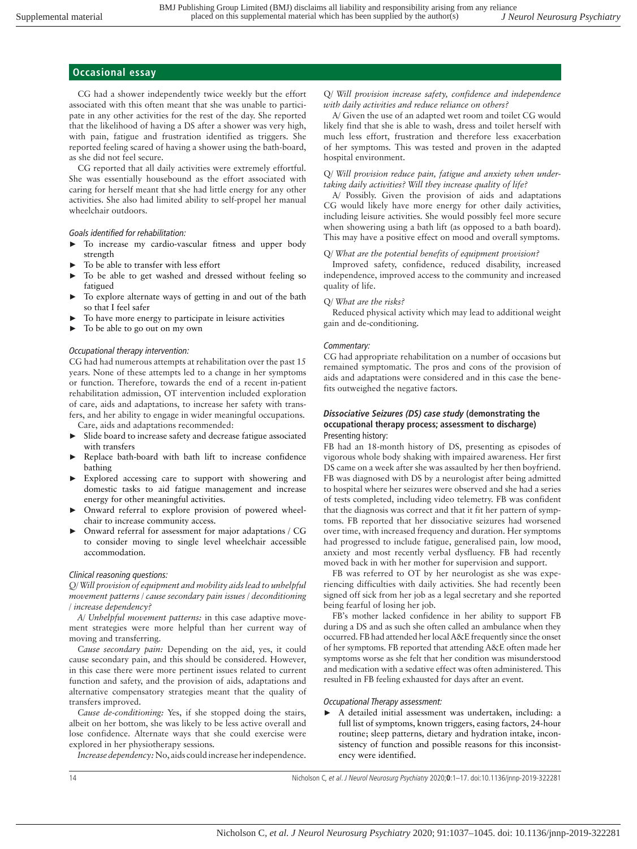CG had a shower independently twice weekly but the effort associated with this often meant that she was unable to participate in any other activities for the rest of the day. She reported that the likelihood of having a DS after a shower was very high, with pain, fatigue and frustration identified as triggers. She reported feeling scared of having a shower using the bath-board, as she did not feel secure.

CG reported that all daily activities were extremely effortful. She was essentially housebound as the effort associated with caring for herself meant that she had little energy for any other activities. She also had limited ability to self-propel her manual wheelchair outdoors.

### *Goals identified for rehabilitation:*

- To increase my cardio-vascular fitness and upper body strength
- To be able to transfer with less effort
- To be able to get washed and dressed without feeling so fationed
- To explore alternate ways of getting in and out of the bath so that I feel safer
- To have more energy to participate in leisure activities
- ► To be able to go out on my own

### *Occupational therapy intervention:*

CG had had numerous attempts at rehabilitation over the past 15 years. None of these attempts led to a change in her symptoms or function. Therefore, towards the end of a recent in-patient rehabilitation admission, OT intervention included exploration of care, aids and adaptations, to increase her safety with transfers, and her ability to engage in wider meaningful occupations. Care, aids and adaptations recommended:

- ► Slide board to increase safety and decrease fatigue associated with transfers
- Replace bath-board with bath lift to increase confidence bathing
- ► Explored accessing care to support with showering and domestic tasks to aid fatigue management and increase energy for other meaningful activities.
- ► Onward referral to explore provision of powered wheelchair to increase community access.
- Onward referral for assessment for major adaptations / CG to consider moving to single level wheelchair accessible accommodation.

### *Clinical reasoning questions:*

*Q/ Will provision of equipment and mobility aids lead to unhelpful movement patterns / cause secondary pain issues / deconditioning / increase dependency?*

*A/ Unhelpful movement patterns:* in this case adaptive movement strategies were more helpful than her current way of moving and transferring.

*Cause secondary pain:* Depending on the aid, yes, it could cause secondary pain, and this should be considered. However, in this case there were more pertinent issues related to current function and safety, and the provision of aids, adaptations and alternative compensatory strategies meant that the quality of transfers improved.

*Cause de-conditioning:* Yes, if she stopped doing the stairs, albeit on her bottom, she was likely to be less active overall and lose confidence. Alternate ways that she could exercise were explored in her physiotherapy sessions.

*Increase dependency:* No, aids could increase her independence.

A/ Given the use of an adapted wet room and toilet CG would likely find that she is able to wash, dress and toilet herself with much less effort, frustration and therefore less exacerbation of her symptoms. This was tested and proven in the adapted hospital environment.

# Q/ *Will provision reduce pain, fatigue and anxiety when undertaking daily activities? Will they increase quality of life?*

A/ Possibly. Given the provision of aids and adaptations CG would likely have more energy for other daily activities, including leisure activities. She would possibly feel more secure when showering using a bath lift (as opposed to a bath board). This may have a positive effect on mood and overall symptoms.

# Q/ *What are the potential benefits of equipment provision?*

Improved safety, confidence, reduced disability, increased independence, improved access to the community and increased quality of life.

#### Q/ *What are the risks?*

Reduced physical activity which may lead to additional weight gain and de-conditioning.

#### *Commentary:*

CG had appropriate rehabilitation on a number of occasions but remained symptomatic. The pros and cons of the provision of aids and adaptations were considered and in this case the benefits outweighed the negative factors.

#### **Dissociative Seizures (DS) case study (demonstrating the occupational therapy process; assessment to discharge)** Presenting history:

FB had an 18-month history of DS, presenting as episodes of vigorous whole body shaking with impaired awareness. Her first DS came on a week after she was assaulted by her then boyfriend. FB was diagnosed with DS by a neurologist after being admitted to hospital where her seizures were observed and she had a series of tests completed, including video telemetry. FB was confident that the diagnosis was correct and that it fit her pattern of symptoms. FB reported that her dissociative seizures had worsened over time, with increased frequency and duration. Her symptoms had progressed to include fatigue, generalised pain, low mood, anxiety and most recently verbal dysfluency. FB had recently moved back in with her mother for supervision and support.

FB was referred to OT by her neurologist as she was experiencing difficulties with daily activities. She had recently been signed off sick from her job as a legal secretary and she reported being fearful of losing her job.

FB's mother lacked confidence in her ability to support FB during a DS and as such she often called an ambulance when they occurred. FB had attended her local A&E frequently since the onset of her symptoms. FB reported that attending A&E often made her symptoms worse as she felt that her condition was misunderstood and medication with a sedative effect was often administered. This resulted in FB feeling exhausted for days after an event.

### *Occupational Therapy assessment:*

A detailed initial assessment was undertaken, including: a full list of symptoms, known triggers, easing factors, 24-hour routine; sleep patterns, dietary and hydration intake, inconsistency of function and possible reasons for this inconsistency were identified.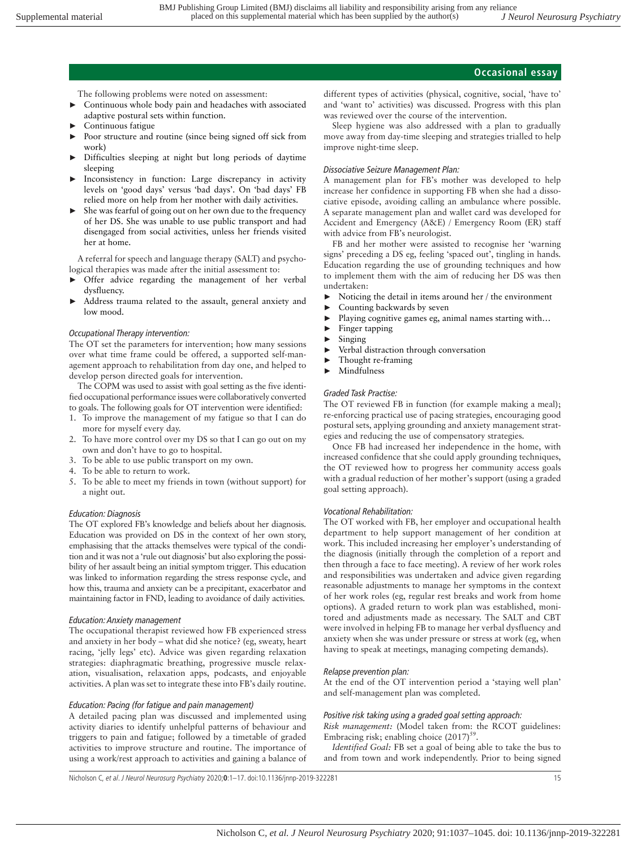The following problems were noted on assessment:

- ► Continuous whole body pain and headaches with associated adaptive postural sets within function.
- ► Continuous fatigue
- Poor structure and routine (since being signed off sick from work)
- Difficulties sleeping at night but long periods of daytime sleeping
- Inconsistency in function: Large discrepancy in activity levels on 'good days' versus 'bad days'. On 'bad days' FB relied more on help from her mother with daily activities.
- She was fearful of going out on her own due to the frequency of her DS. She was unable to use public transport and had disengaged from social activities, unless her friends visited her at home.

A referral for speech and language therapy (SALT) and psychological therapies was made after the initial assessment to:

- Offer advice regarding the management of her verbal dysfluency.
- Address trauma related to the assault, general anxiety and low mood.

# *Occupational Therapy intervention:*

The OT set the parameters for intervention; how many sessions over what time frame could be offered, a supported self-management approach to rehabilitation from day one, and helped to develop person directed goals for intervention.

The COPM was used to assist with goal setting as the five identified occupational performance issues were collaboratively converted to goals. The following goals for OT intervention were identified:

- 1. To improve the management of my fatigue so that I can do more for myself every day.
- 2. To have more control over my DS so that I can go out on my own and don't have to go to hospital.
- 3. To be able to use public transport on my own.
- 4. To be able to return to work.
- 5. To be able to meet my friends in town (without support) for a night out.

# *Education: Diagnosis*

The OT explored FB's knowledge and beliefs about her diagnosis. Education was provided on DS in the context of her own story, emphasising that the attacks themselves were typical of the condition and it was not a 'rule out diagnosis' but also exploring the possibility of her assault being an initial symptom trigger. This education was linked to information regarding the stress response cycle, and how this, trauma and anxiety can be a precipitant, exacerbator and maintaining factor in FND, leading to avoidance of daily activities.

# *Education: Anxiety management*

The occupational therapist reviewed how FB experienced stress and anxiety in her body – what did she notice? (eg, sweaty, heart racing, 'jelly legs' etc). Advice was given regarding relaxation strategies: diaphragmatic breathing, progressive muscle relaxation, visualisation, relaxation apps, podcasts, and enjoyable activities. A plan was set to integrate these into FB's daily routine.

# *Education: Pacing (for fatigue and pain management)*

A detailed pacing plan was discussed and implemented using activity diaries to identify unhelpful patterns of behaviour and triggers to pain and fatigue; followed by a timetable of graded activities to improve structure and routine. The importance of using a work/rest approach to activities and gaining a balance of

different types of activities (physical, cognitive, social, 'have to' and 'want to' activities) was discussed. Progress with this plan was reviewed over the course of the intervention.

Sleep hygiene was also addressed with a plan to gradually move away from day-time sleeping and strategies trialled to help improve night-time sleep.

# *Dissociative Seizure Management Plan:*

A management plan for FB's mother was developed to help increase her confidence in supporting FB when she had a dissociative episode, avoiding calling an ambulance where possible. A separate management plan and wallet card was developed for Accident and Emergency (A&E) / Emergency Room (ER) staff with advice from FB's neurologist.

FB and her mother were assisted to recognise her 'warning signs' preceding a DS eg, feeling 'spaced out', tingling in hands. Education regarding the use of grounding techniques and how to implement them with the aim of reducing her DS was then undertaken:

- Noticing the detail in items around her  $/$  the environment
- ► Counting backwards by seven
- ► Playing cognitive games eg, animal names starting with…
- Finger tapping
- ► Singing
- ► Verbal distraction through conversation
- ► Thought re-framing
- ► Mindfulness

# *Graded Task Practise:*

The OT reviewed FB in function (for example making a meal); re-enforcing practical use of pacing strategies, encouraging good postural sets, applying grounding and anxiety management strategies and reducing the use of compensatory strategies.

Once FB had increased her independence in the home, with increased confidence that she could apply grounding techniques, the OT reviewed how to progress her community access goals with a gradual reduction of her mother's support (using a graded goal setting approach).

# *Vocational Rehabilitation:*

The OT worked with FB, her employer and occupational health department to help support management of her condition at work. This included increasing her employer's understanding of the diagnosis (initially through the completion of a report and then through a face to face meeting). A review of her work roles and responsibilities was undertaken and advice given regarding reasonable adjustments to manage her symptoms in the context of her work roles (eg, regular rest breaks and work from home options). A graded return to work plan was established, monitored and adjustments made as necessary. The SALT and CBT were involved in helping FB to manage her verbal dysfluency and anxiety when she was under pressure or stress at work (eg, when having to speak at meetings, managing competing demands).

# *Relapse prevention plan:*

At the end of the OT intervention period a 'staying well plan' and self-management plan was completed.

# *Positive risk taking using a graded goal setting approach:*

*Risk management:* (Model taken from: the RCOT guidelines: Embracing risk; enabling choice  $(2017)^{59}$ .

*Identified Goal:* FB set a goal of being able to take the bus to and from town and work independently. Prior to being signed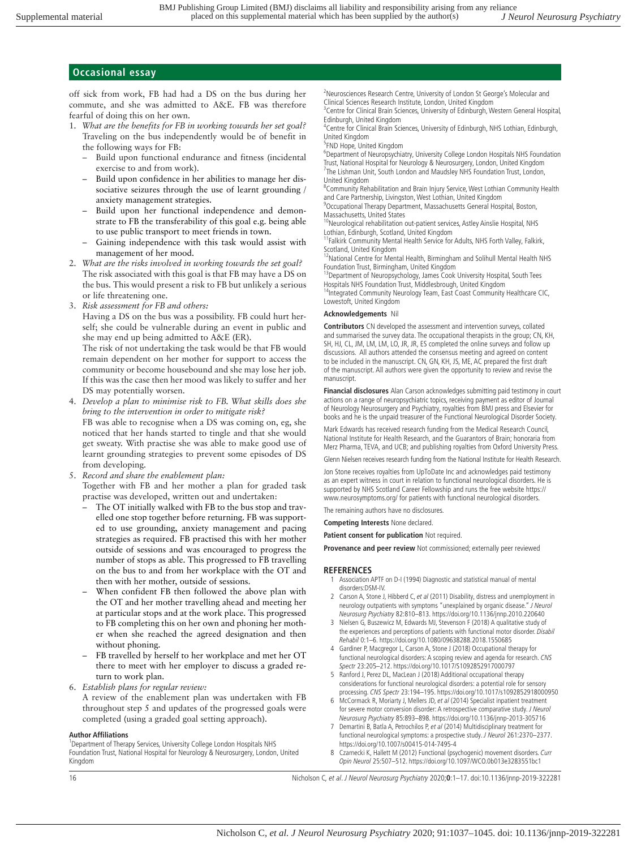off sick from work, FB had had a DS on the bus during her commute, and she was admitted to A&E. FB was therefore fearful of doing this on her own.

- 1. *What are the benefits for FB in working towards her set goal?*  Traveling on the bus independently would be of benefit in the following ways for FB:
	- Build upon functional endurance and fitness (incidental exercise to and from work).
	- Build upon confidence in her abilities to manage her dissociative seizures through the use of learnt grounding / anxiety management strategies.
	- Build upon her functional independence and demonstrate to FB the transferability of this goal e.g. being able to use public transport to meet friends in town.
	- Gaining independence with this task would assist with management of her mood.
- 2. *What are the risks involved in working towards the set goal?* The risk associated with this goal is that FB may have a DS on the bus. This would present a risk to FB but unlikely a serious or life threatening one.
- 3. *Risk assessment for FB and others:*

Having a DS on the bus was a possibility. FB could hurt herself; she could be vulnerable during an event in public and she may end up being admitted to A&E (ER).

The risk of not undertaking the task would be that FB would remain dependent on her mother for support to access the community or become housebound and she may lose her job. If this was the case then her mood was likely to suffer and her DS may potentially worsen.

4. *Develop a plan to minimise risk to FB. What skills does she bring to the intervention in order to mitigate risk?* FB was able to recognise when a DS was coming on, eg, she noticed that her hands started to tingle and that she would get sweaty. With practise she was able to make good use of learnt grounding strategies to prevent some episodes of DS

from developing. 5. *Record and share the enablement plan:*

- Together with FB and her mother a plan for graded task practise was developed, written out and undertaken:
	- The OT initially walked with FB to the bus stop and travelled one stop together before returning. FB was supported to use grounding, anxiety management and pacing strategies as required. FB practised this with her mother outside of sessions and was encouraged to progress the number of stops as able. This progressed to FB travelling on the bus to and from her workplace with the OT and then with her mother, outside of sessions.
	- When confident FB then followed the above plan with the OT and her mother travelling ahead and meeting her at particular stops and at the work place. This progressed to FB completing this on her own and phoning her mother when she reached the agreed designation and then without phoning.
	- FB travelled by herself to her workplace and met her OT there to meet with her employer to discuss a graded return to work plan.
- 6. *Establish plans for regular review:*
- A review of the enablement plan was undertaken with FB throughout step 5 and updates of the progressed goals were completed (using a graded goal setting approach).

### **Author Affiliations**

<sup>1</sup> Department of Therapy Services, University College London Hospitals NHS Foundation Trust, National Hospital for Neurology & Neurosurgery, London, United Kingdom

<sup>2</sup> Neurosciences Research Centre, University of London St George's Molecular and Clinical Sciences Research Institute, London, United Kingdom

<sup>3</sup> Centre for Clinical Brain Sciences, University of Edinburgh, Western General Hospital,

Edinburgh, United Kingdom 4 Centre for Clinical Brain Sciences, University of Edinburgh, NHS Lothian, Edinburgh, United Kingdom

<sup>5</sup>FND Hope, United Kingdom

6 Department of Neuropsychiatry, University College London Hospitals NHS Foundation Trust, National Hospital for Neurology & Neurosurgery, London, United Kingdom <sup>7</sup>The Lishman Unit, South London and Maudsley NHS Foundation Trust, London, United Kingdom

<sup>8</sup> Community Rehabilitation and Brain Injury Service, West Lothian Community Health and Care Partnership, Livingston, West Lothian, United Kingdom

<sup>9</sup> Occupational Therapy Department, Massachusetts General Hospital, Boston, Massachusetts, United States

<sup>10</sup>Neurological rehabilitation out-patient services, Astley Ainslie Hospital, NHS Lothian, Edinburgh, Scotland, United Kingdom

<sup>11</sup>Falkirk Community Mental Health Service for Adults, NHS Forth Valley, Falkirk, Scotland, United Kingdom

12National Centre for Mental Health, Birmingham and Solihull Mental Health NHS Foundation Trust, Birmingham, United Kingdom

<sup>13</sup>Department of Neuropsychology, James Cook University Hospital, South Tees

Hospitals NHS Foundation Trust, Middlesbrough, United Kingdom <sup>14</sup>Integrated Community Neurology Team, East Coast Community Healthcare CIC, Lowestoft, United Kingdom

#### **Acknowledgements** Nil

**Contributors** CN developed the assessment and intervention surveys, collated and summarised the survey data. The occupational therapists in the group; CN, KH, SH, HJ, CL, JM, LM, LM, LO, JR, JR, ES completed the online surveys and follow up discussions. All authors attended the consensus meeting and agreed on content to be included in the manuscript. CN, GN, KH, JS, ME, AC prepared the first draft of the manuscript. All authors were given the opportunity to review and revise the manuscript.

**Financial disclosures** Alan Carson acknowledges submitting paid testimony in court actions on a range of neuropsychiatric topics, receiving payment as editor of Journal of Neurology Neurosurgery and Psychiatry, royalties from BMJ press and Elsevier for books and he is the unpaid treasurer of the Functional Neurological Disorder Society.

Mark Edwards has received research funding from the Medical Research Council, National Institute for Health Research, and the Guarantors of Brain; honoraria from Merz Pharma, TEVA, and UCB; and publishing royalties from Oxford University Press.

Glenn Nielsen receives research funding from the National Institute for Health Research.

Jon Stone receives royalties from UpToDate Inc and acknowledges paid testimony as an expert witness in court in relation to functional neurological disorders. He is supported by NHS Scotland Career Fellowship and runs the free website https:// www.neurosymptoms.org/ for patients with functional neurological disorders.

The remaining authors have no disclosures.

**Competing Interests** None declared.

**Patient consent for publication** Not required.

**Provenance and peer review** Not commissioned; externally peer reviewed

#### **REFERENCES**

- 1 Association APTF on D-I (1994) Diagnostic and statistical manual of mental disorders:DSM-IV.
- 2 Carson A, Stone J, Hibberd C, et al (2011) Disability, distress and unemployment in neurology outpatients with symptoms "unexplained by organic disease." J Neurol Neurosurg Psychiatry 82:810–813. https://doi.org/10.1136/jnnp.2010.220640
- 3 Nielsen G, Buszewicz M, Edwards MJ, Stevenson F (2018) A qualitative study of the experiences and perceptions of patients with functional motor disorder. Disabil Rehabil 0:1–6. https://doi.org/10.1080/09638288.2018.1550685
- 4 Gardiner P, Macgregor L, Carson A, Stone J (2018) Occupational therapy for functional neurological disorders: A scoping review and agenda for research. CNS Spectr 23:205–212. https://doi.org/10.1017/S1092852917000797
- 5 Ranford J, Perez DL, MacLean J (2018) Additional occupational therapy considerations for functional neurological disorders: a potential role for sensory processing. CNS Spectr 23:194–195. https://doi.org/10.1017/s1092852918000950
- 6 McCormack R, Moriarty J, Mellers JD, et al (2014) Specialist inpatient treatment for severe motor conversion disorder: A retrospective comparative study. J Neurol Neurosurg Psychiatry 85:893–898. https://doi.org/10.1136/jnnp-2013-305716
- 7 Demartini B, Batla A, Petrochilos P, et al (2014) Multidisciplinary treatment for functional neurological symptoms: a prospective study. J Neurol 261:2370–2377. https://doi.org/10.1007/s00415-014-7495-4
- 8 Czarnecki K, Hallett M (2012) Functional (psychogenic) movement disorders. Curr Opin Neurol 25:507–512. https://doi.org/10.1097/WCO.0b013e3283551bc1